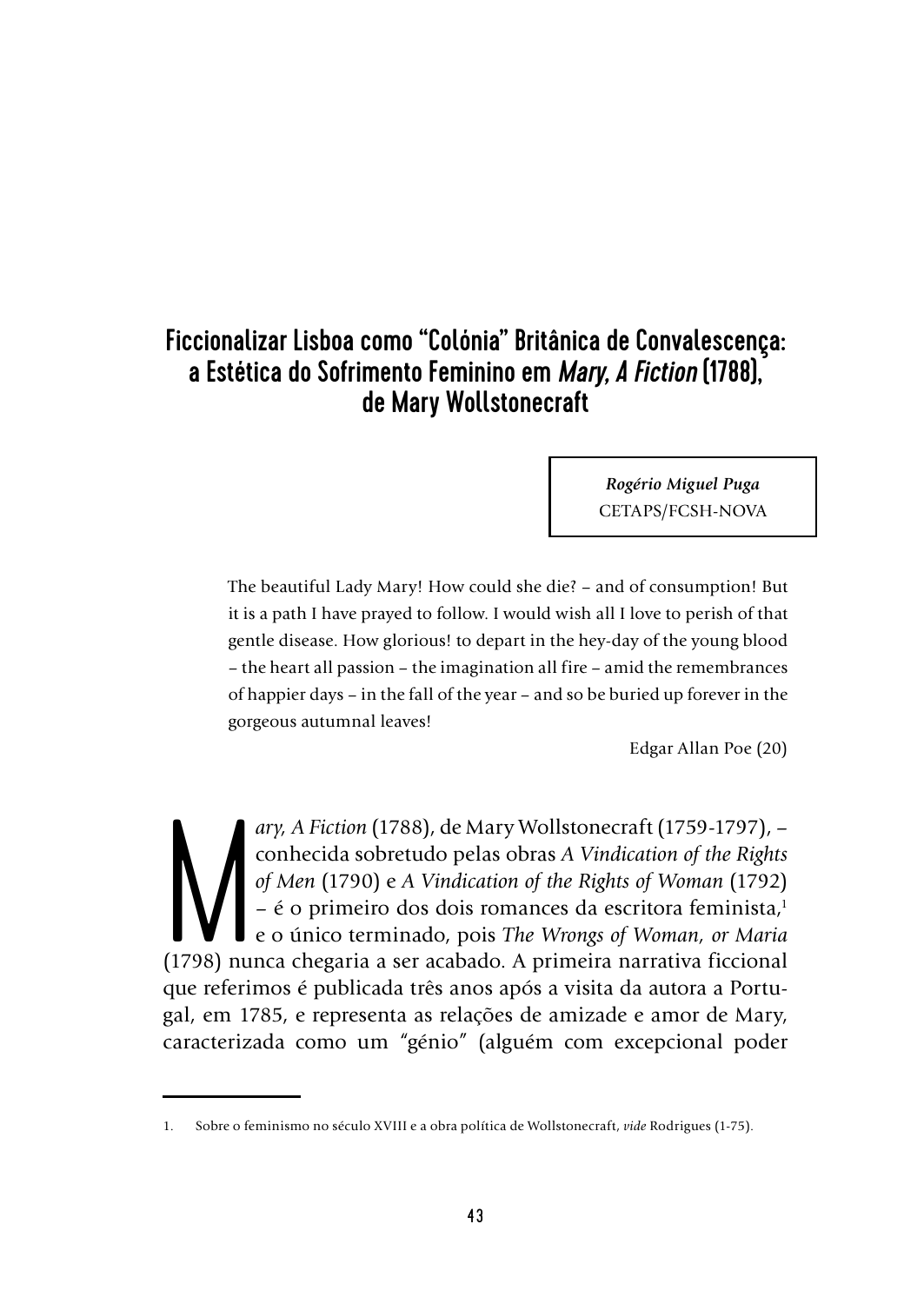# Ficcionalizar Lisboa como "Colónia" Britânica de Convalescença: a Estética do Sofrimento Feminino em *Mary, A Fiction* (1788), de Mary Wollstonecraft

*Rogério Miguel Puga* CETAPS/FCSH-NOVA

The beautiful Lady Mary! How could she die? – and of consumption! But it is a path I have prayed to follow. I would wish all I love to perish of that gentle disease. How glorious! to depart in the hey-day of the young blood – the heart all passion – the imagination all fire – amid the remembrances of happier days – in the fall of the year – and so be buried up forever in the gorgeous autumnal leaves!

Edgar Allan Poe (20)

ary, A Fiction (1788), de Mary Wollstonecraft (1759-1797), – conhecida sobretudo pelas obras A Vindication of the Rights of Men (1790) e A Vindication of the Rights of Woman (1792) – é o primeiro dos dois romances da escri *ary, A Fiction* (1788), de Mary Wollstonecraft (1759-1797), – conhecida sobretudo pelas obras *A Vindication of the Rights of Men* (1790) e *A Vindication of the Rights of Woman* (1792) – é o primeiro dos dois romances da escritora feminista,<sup>1</sup> e o único terminado, pois *The Wrongs of Woman, or Maria* que referimos é publicada três anos após a visita da autora a Portugal, em 1785, e representa as relações de amizade e amor de Mary, caracterizada como um "génio" (alguém com excepcional poder

<sup>1.</sup> Sobre o feminismo no século XVIII e a obra política de Wollstonecraft, *vide* Rodrigues (1-75).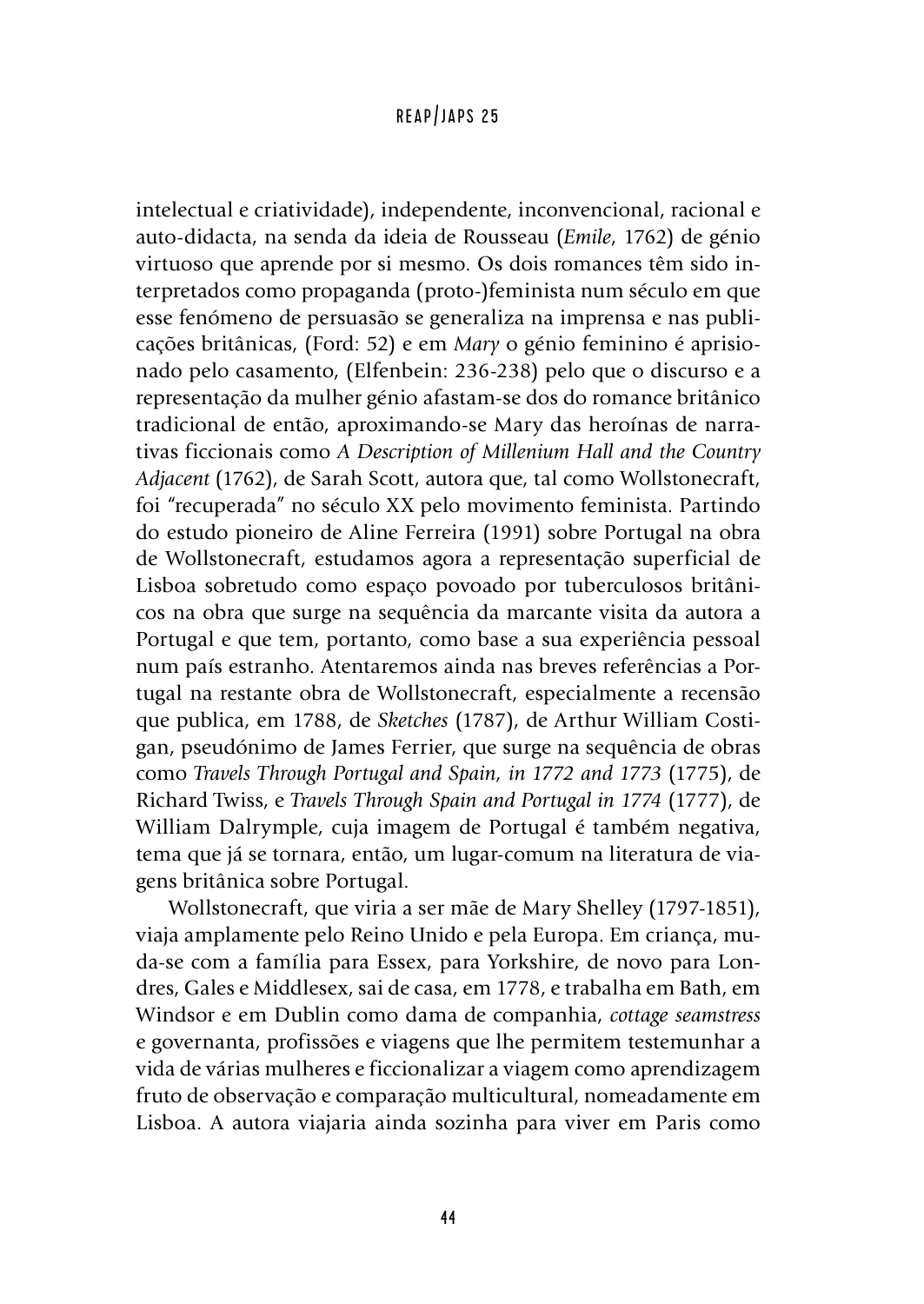intelectual e criatividade), independente, inconvencional, racional e auto-didacta, na senda da ideia de Rousseau (*Emile*, 1762) de génio virtuoso que aprende por si mesmo. Os dois romances têm sido interpretados como propaganda (proto-)feminista num século em que esse fenómeno de persuasão se generaliza na imprensa e nas publicações britânicas, (Ford: 52) e em *Mary* o génio feminino é aprisionado pelo casamento, (Elfenbein: 236-238) pelo que o discurso e a representação da mulher génio afastam-se dos do romance britânico tradicional de então, aproximando-se Mary das heroínas de narrativas ficcionais como *A Description of Millenium Hall and the Country Adjacent* (1762), de Sarah Scott, autora que, tal como Wollstonecraft, foi "recuperada" no século XX pelo movimento feminista. Partindo do estudo pioneiro de Aline Ferreira (1991) sobre Portugal na obra de Wollstonecraft, estudamos agora a representação superficial de Lisboa sobretudo como espaço povoado por tuberculosos britânicos na obra que surge na sequência da marcante visita da autora a Portugal e que tem, portanto, como base a sua experiência pessoal num país estranho. Atentaremos ainda nas breves referências a Portugal na restante obra de Wollstonecraft, especialmente a recensão que publica, em 1788, de *Sketches* (1787), de Arthur William Costigan, pseudónimo de James Ferrier, que surge na sequência de obras como *Travels Through Portugal and Spain, in 1772 and 1773* (1775), de Richard Twiss, e *Travels Through Spain and Portugal in 1774* (1777), de William Dalrymple, cuja imagem de Portugal é também negativa, tema que já se tornara, então, um lugar-comum na literatura de viagens britânica sobre Portugal.

Wollstonecraft, que viria a ser mãe de Mary Shelley (1797-1851), viaja amplamente pelo Reino Unido e pela Europa. Em criança, muda-se com a família para Essex, para Yorkshire, de novo para Londres, Gales e Middlesex, sai de casa, em 1778, e trabalha em Bath, em Windsor e em Dublin como dama de companhia, *cottage seamstress* e governanta, profissões e viagens que lhe permitem testemunhar a vida de várias mulheres e ficcionalizar a viagem como aprendizagem fruto de observação e comparação multicultural, nomeadamente em Lisboa. A autora viajaria ainda sozinha para viver em Paris como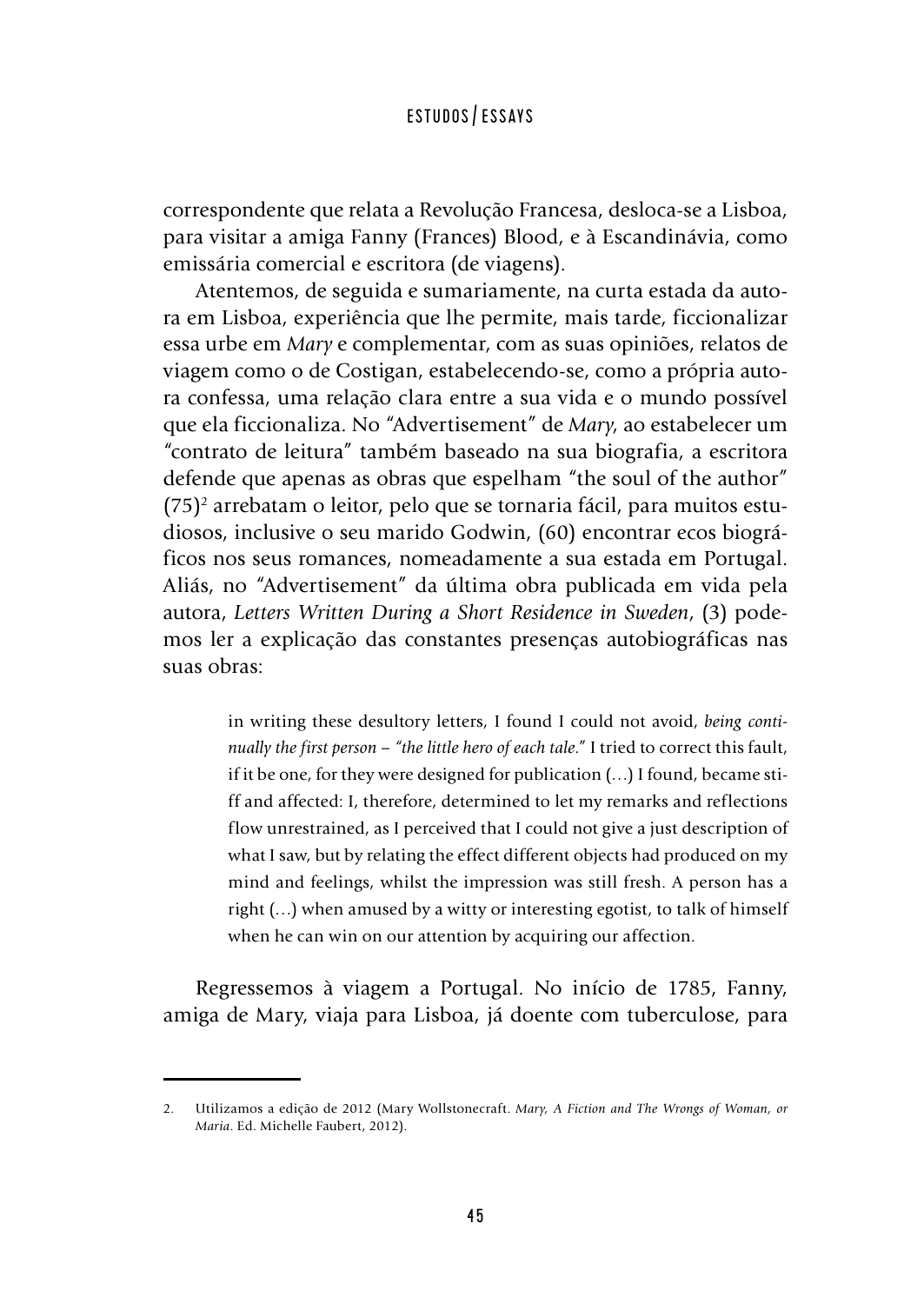correspondente que relata a Revolução Francesa, desloca-se a Lisboa, para visitar a amiga Fanny (Frances) Blood, e à Escandinávia, como emissária comercial e escritora (de viagens).

Atentemos, de seguida e sumariamente, na curta estada da autora em Lisboa, experiência que lhe permite, mais tarde, ficcionalizar essa urbe em *Mary* e complementar, com as suas opiniões, relatos de viagem como o de Costigan, estabelecendo-se, como a própria autora confessa, uma relação clara entre a sua vida e o mundo possível que ela ficcionaliza. No "Advertisement" de *Mary*, ao estabelecer um "contrato de leitura" também baseado na sua biografia, a escritora defende que apenas as obras que espelham "the soul of the author"  $(75)^2$  arrebatam o leitor, pelo que se tornaria fácil, para muitos estudiosos, inclusive o seu marido Godwin, (60) encontrar ecos biográficos nos seus romances, nomeadamente a sua estada em Portugal. Aliás, no "Advertisement" da última obra publicada em vida pela autora, *Letters Written During a Short Residence in Sweden*, (3) podemos ler a explicação das constantes presenças autobiográficas nas suas obras:

> in writing these desultory letters, I found I could not avoid, *being continually the first person – "the little hero of each tale*." I tried to correct this fault, if it be one, for they were designed for publication (…) I found, became stiff and affected: I, therefore, determined to let my remarks and reflections flow unrestrained, as I perceived that I could not give a just description of what I saw, but by relating the effect different objects had produced on my mind and feelings, whilst the impression was still fresh. A person has a right (…) when amused by a witty or interesting egotist, to talk of himself when he can win on our attention by acquiring our affection.

Regressemos à viagem a Portugal. No início de 1785, Fanny, amiga de Mary, viaja para Lisboa, já doente com tuberculose, para

<sup>2.</sup> Utilizamos a edição de 2012 (Mary Wollstonecraft. *Mary, A Fiction and The Wrongs of Woman, or Maria*. Ed. Michelle Faubert, 2012).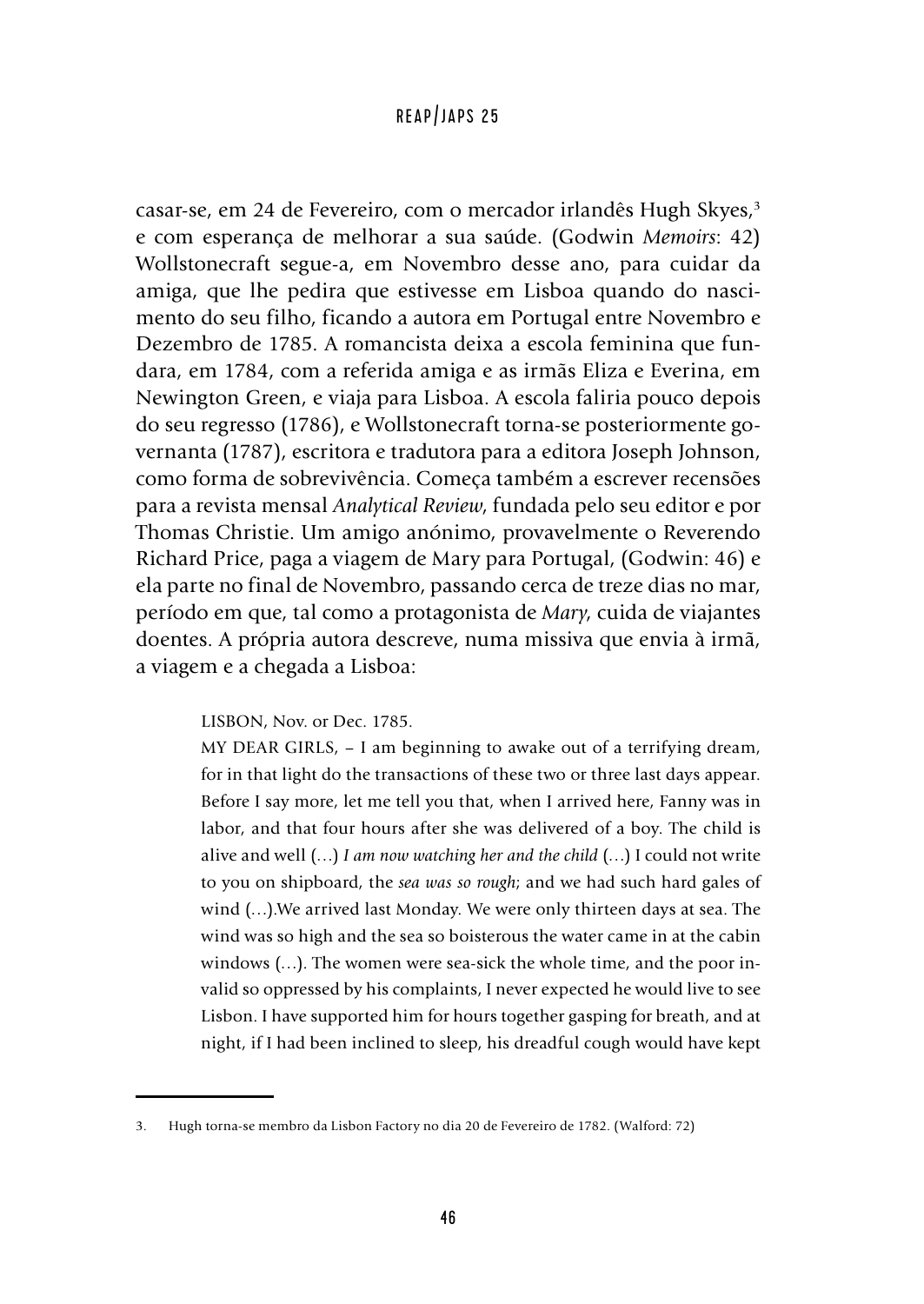casar-se, em 24 de Fevereiro, com o mercador irlandês Hugh Skyes,<sup>3</sup> e com esperança de melhorar a sua saúde. (Godwin *Memoirs*: 42) Wollstonecraft segue-a, em Novembro desse ano, para cuidar da amiga, que lhe pedira que estivesse em Lisboa quando do nascimento do seu filho, ficando a autora em Portugal entre Novembro e Dezembro de 1785. A romancista deixa a escola feminina que fundara, em 1784, com a referida amiga e as irmãs Eliza e Everina, em Newington Green, e viaja para Lisboa. A escola faliria pouco depois do seu regresso (1786), e Wollstonecraft torna-se posteriormente governanta (1787), escritora e tradutora para a editora Joseph Johnson, como forma de sobrevivência. Começa também a escrever recensões para a revista mensal *Analytical Review*, fundada pelo seu editor e por Thomas Christie. Um amigo anónimo, provavelmente o Reverendo Richard Price, paga a viagem de Mary para Portugal, (Godwin: 46) e ela parte no final de Novembro, passando cerca de treze dias no mar, período em que, tal como a protagonista de *Mary*, cuida de viajantes doentes. A própria autora descreve, numa missiva que envia à irmã, a viagem e a chegada a Lisboa:

#### LISBON, Nov. or Dec. 1785.

MY DEAR GIRLS, – I am beginning to awake out of a terrifying dream, for in that light do the transactions of these two or three last days appear. Before I say more, let me tell you that, when I arrived here, Fanny was in labor, and that four hours after she was delivered of a boy. The child is alive and well (…) *I am now watching her and the child* (…) I could not write to you on shipboard, the *sea was so rough*; and we had such hard gales of wind (…).We arrived last Monday. We were only thirteen days at sea. The wind was so high and the sea so boisterous the water came in at the cabin windows (…). The women were sea-sick the whole time, and the poor invalid so oppressed by his complaints, I never expected he would live to see Lisbon. I have supported him for hours together gasping for breath, and at night, if I had been inclined to sleep, his dreadful cough would have kept

<sup>3.</sup> Hugh torna-se membro da Lisbon Factory no dia 20 de Fevereiro de 1782. (Walford: 72)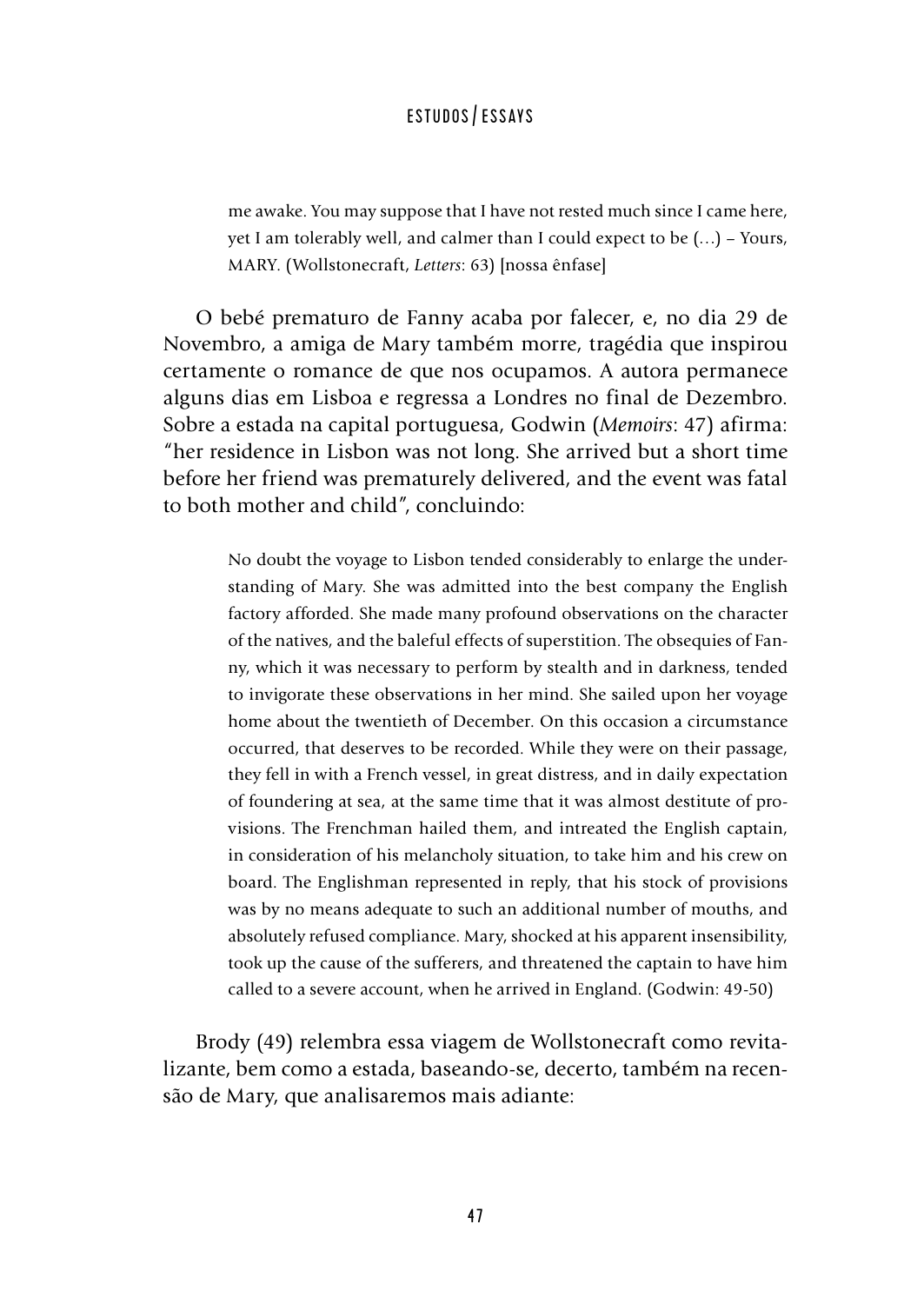me awake. You may suppose that I have not rested much since I came here, yet I am tolerably well, and calmer than I could expect to be (…) – Yours, MARY. (Wollstonecraft, *Letters*: 63) [nossa ênfase]

O bebé prematuro de Fanny acaba por falecer, e, no dia 29 de Novembro, a amiga de Mary também morre, tragédia que inspirou certamente o romance de que nos ocupamos. A autora permanece alguns dias em Lisboa e regressa a Londres no final de Dezembro. Sobre a estada na capital portuguesa, Godwin (*Memoirs*: 47) afirma: "her residence in Lisbon was not long. She arrived but a short time before her friend was prematurely delivered, and the event was fatal to both mother and child", concluindo:

> No doubt the voyage to Lisbon tended considerably to enlarge the understanding of Mary. She was admitted into the best company the English factory afforded. She made many profound observations on the character of the natives, and the baleful effects of superstition. The obsequies of Fanny, which it was necessary to perform by stealth and in darkness, tended to invigorate these observations in her mind. She sailed upon her voyage home about the twentieth of December. On this occasion a circumstance occurred, that deserves to be recorded. While they were on their passage, they fell in with a French vessel, in great distress, and in daily expectation of foundering at sea, at the same time that it was almost destitute of provisions. The Frenchman hailed them, and intreated the English captain, in consideration of his melancholy situation, to take him and his crew on board. The Englishman represented in reply, that his stock of provisions was by no means adequate to such an additional number of mouths, and absolutely refused compliance. Mary, shocked at his apparent insensibility, took up the cause of the sufferers, and threatened the captain to have him called to a severe account, when he arrived in England. (Godwin: 49-50)

Brody (49) relembra essa viagem de Wollstonecraft como revitalizante, bem como a estada, baseando-se, decerto, também na recensão de Mary, que analisaremos mais adiante: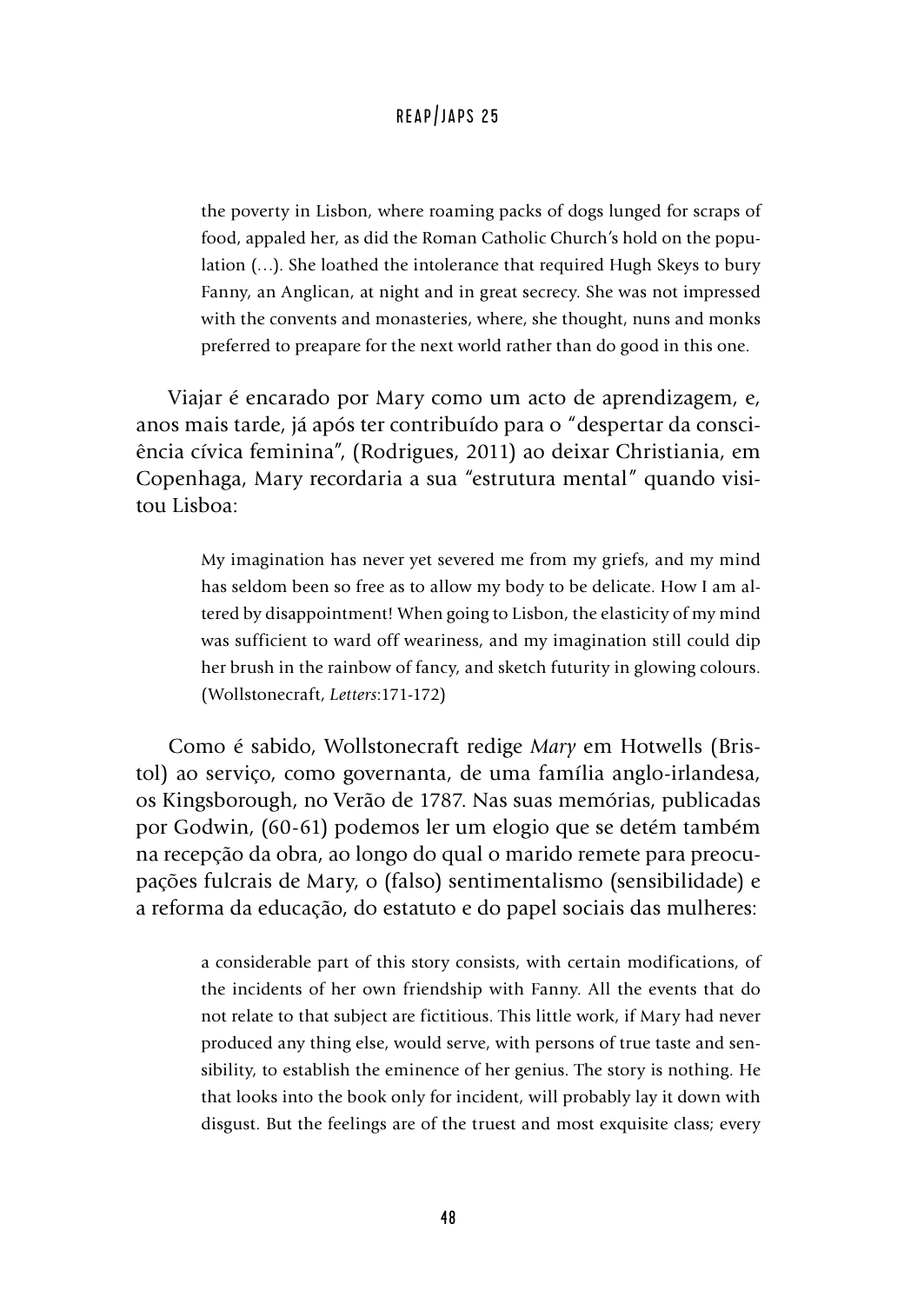the poverty in Lisbon, where roaming packs of dogs lunged for scraps of food, appaled her, as did the Roman Catholic Church's hold on the population (…). She loathed the intolerance that required Hugh Skeys to bury Fanny, an Anglican, at night and in great secrecy. She was not impressed with the convents and monasteries, where, she thought, nuns and monks preferred to preapare for the next world rather than do good in this one.

Viajar é encarado por Mary como um acto de aprendizagem, e, anos mais tarde, já após ter contribuído para o "despertar da consciência cívica feminina", (Rodrigues, 2011) ao deixar Christiania, em Copenhaga, Mary recordaria a sua "estrutura mental" quando visitou Lisboa:

> My imagination has never yet severed me from my griefs, and my mind has seldom been so free as to allow my body to be delicate. How I am altered by disappointment! When going to Lisbon, the elasticity of my mind was sufficient to ward off weariness, and my imagination still could dip her brush in the rainbow of fancy, and sketch futurity in glowing colours. (Wollstonecraft, *Letters*:171-172)

Como é sabido, Wollstonecraft redige *Mary* em Hotwells (Bristol) ao serviço, como governanta, de uma família anglo-irlandesa, os Kingsborough, no Verão de 1787. Nas suas memórias, publicadas por Godwin, (60-61) podemos ler um elogio que se detém também na recepção da obra, ao longo do qual o marido remete para preocupações fulcrais de Mary, o (falso) sentimentalismo (sensibilidade) e a reforma da educação, do estatuto e do papel sociais das mulheres:

> a considerable part of this story consists, with certain modifications, of the incidents of her own friendship with Fanny. All the events that do not relate to that subject are fictitious. This little work, if Mary had never produced any thing else, would serve, with persons of true taste and sensibility, to establish the eminence of her genius. The story is nothing. He that looks into the book only for incident, will probably lay it down with disgust. But the feelings are of the truest and most exquisite class; every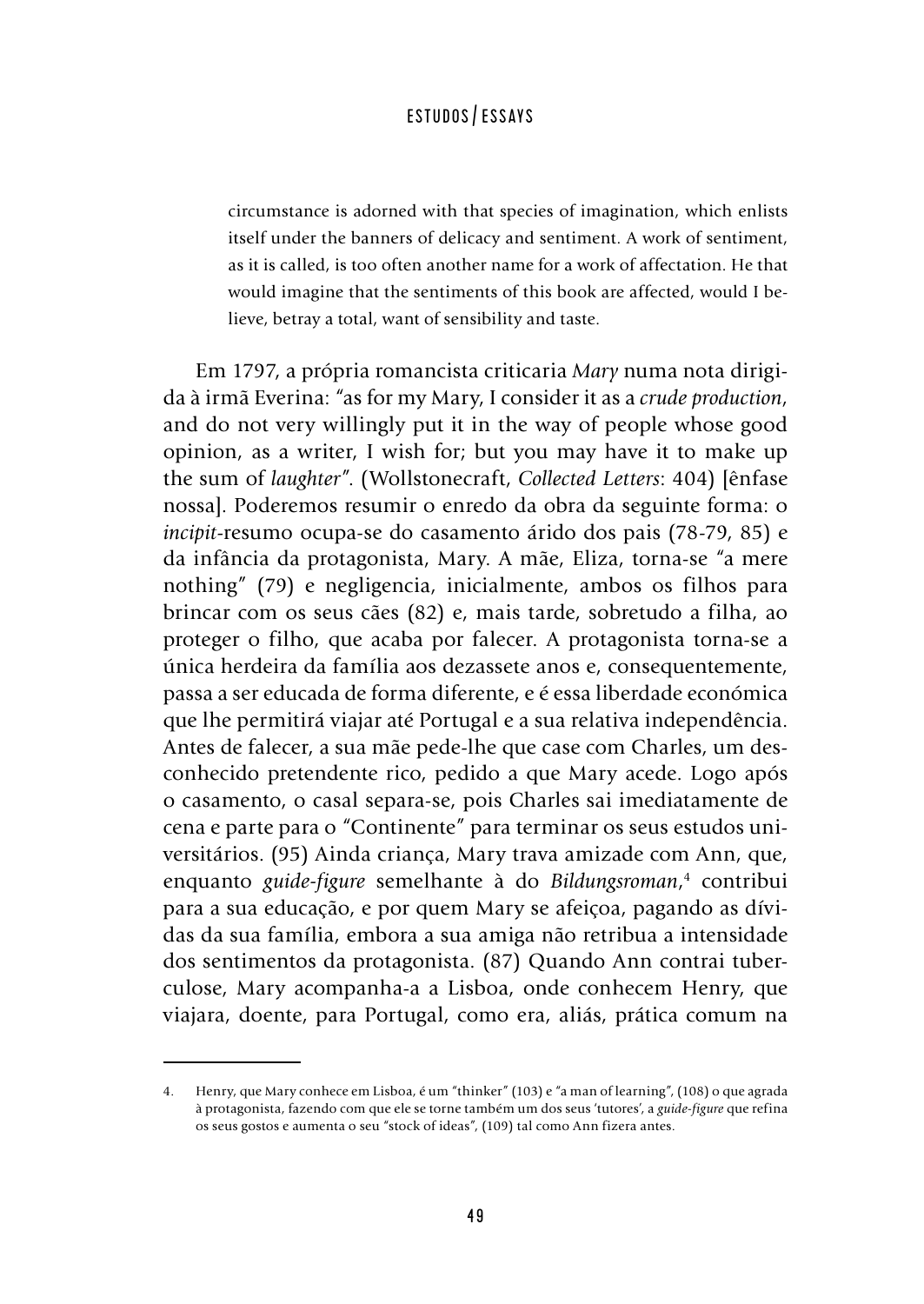circumstance is adorned with that species of imagination, which enlists itself under the banners of delicacy and sentiment. A work of sentiment, as it is called, is too often another name for a work of affectation. He that would imagine that the sentiments of this book are affected, would I believe, betray a total, want of sensibility and taste.

Em 1797, a própria romancista criticaria *Mary* numa nota dirigida à irmã Everina: "as for my Mary, I consider it as a *crude production*, and do not very willingly put it in the way of people whose good opinion, as a writer, I wish for; but you may have it to make up the sum of *laughter*". (Wollstonecraft, *Collected Letters*: 404) [ênfase nossa]. Poderemos resumir o enredo da obra da seguinte forma: o *incipit*-resumo ocupa-se do casamento árido dos pais (78-79, 85) e da infância da protagonista, Mary. A mãe, Eliza, torna-se "a mere nothing" (79) e negligencia, inicialmente, ambos os filhos para brincar com os seus cães (82) e, mais tarde, sobretudo a filha, ao proteger o filho, que acaba por falecer. A protagonista torna-se a única herdeira da família aos dezassete anos e, consequentemente, passa a ser educada de forma diferente, e é essa liberdade económica que lhe permitirá viajar até Portugal e a sua relativa independência. Antes de falecer, a sua mãe pede-lhe que case com Charles, um desconhecido pretendente rico, pedido a que Mary acede. Logo após o casamento, o casal separa-se, pois Charles sai imediatamente de cena e parte para o "Continente" para terminar os seus estudos universitários. (95) Ainda criança, Mary trava amizade com Ann, que, enquanto *guide-figure* semelhante à do *Bildungsroman*, 4 contribui para a sua educação, e por quem Mary se afeiçoa, pagando as dívidas da sua família, embora a sua amiga não retribua a intensidade dos sentimentos da protagonista. (87) Quando Ann contrai tuberculose, Mary acompanha-a a Lisboa, onde conhecem Henry, que viajara, doente, para Portugal, como era, aliás, prática comum na

<sup>4.</sup> Henry, que Mary conhece em Lisboa, é um "thinker" (103) e "a man of learning", (108) o que agrada à protagonista, fazendo com que ele se torne também um dos seus 'tutores', a *guide-figure* que refina os seus gostos e aumenta o seu "stock of ideas", (109) tal como Ann fizera antes.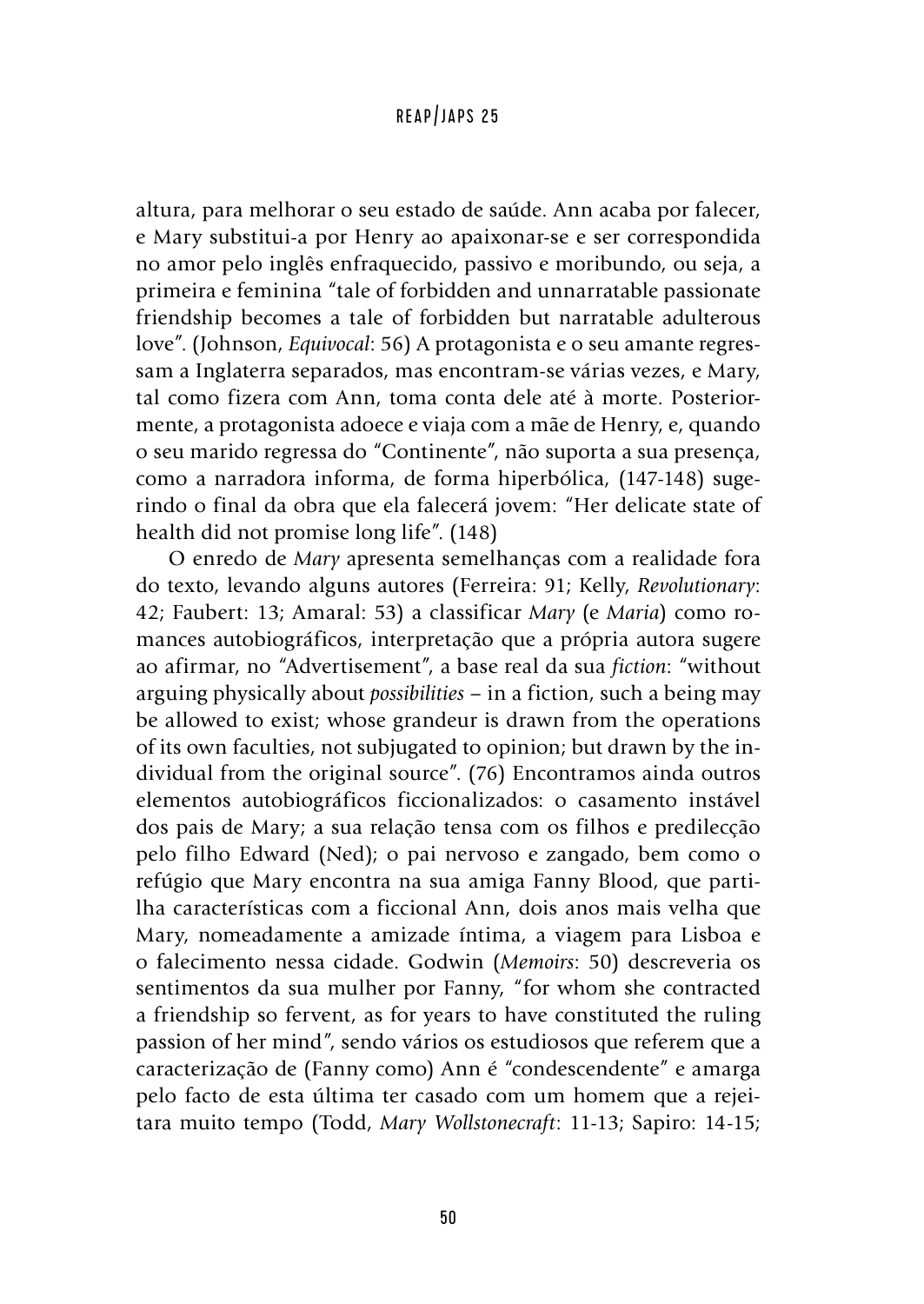altura, para melhorar o seu estado de saúde. Ann acaba por falecer, e Mary substitui-a por Henry ao apaixonar-se e ser correspondida no amor pelo inglês enfraquecido, passivo e moribundo, ou seja, a primeira e feminina "tale of forbidden and unnarratable passionate friendship becomes a tale of forbidden but narratable adulterous love". (Johnson, *Equivocal*: 56) A protagonista e o seu amante regressam a Inglaterra separados, mas encontram-se várias vezes, e Mary, tal como fizera com Ann, toma conta dele até à morte. Posteriormente, a protagonista adoece e viaja com a mãe de Henry, e, quando o seu marido regressa do "Continente", não suporta a sua presença, como a narradora informa, de forma hiperbólica, (147-148) sugerindo o final da obra que ela falecerá jovem: "Her delicate state of health did not promise long life". (148)

O enredo de *Mary* apresenta semelhanças com a realidade fora do texto, levando alguns autores (Ferreira: 91; Kelly, *Revolutionary*: 42; Faubert: 13; Amaral: 53) a classificar *Mary* (e *Maria*) como romances autobiográficos, interpretação que a própria autora sugere ao afirmar, no "Advertisement", a base real da sua *fiction*: "without arguing physically about *possibilities –* in a fiction, such a being may be allowed to exist; whose grandeur is drawn from the operations of its own faculties, not subjugated to opinion; but drawn by the individual from the original source". (76) Encontramos ainda outros elementos autobiográficos ficcionalizados: o casamento instável dos pais de Mary; a sua relação tensa com os filhos e predilecção pelo filho Edward (Ned); o pai nervoso e zangado, bem como o refúgio que Mary encontra na sua amiga Fanny Blood, que partilha características com a ficcional Ann, dois anos mais velha que Mary, nomeadamente a amizade íntima, a viagem para Lisboa e o falecimento nessa cidade. Godwin (*Memoirs*: 50) descreveria os sentimentos da sua mulher por Fanny, "for whom she contracted a friendship so fervent, as for years to have constituted the ruling passion of her mind", sendo vários os estudiosos que referem que a caracterização de (Fanny como) Ann é "condescendente" e amarga pelo facto de esta última ter casado com um homem que a rejeitara muito tempo (Todd, *Mary Wollstonecraft*: 11-13; Sapiro: 14-15;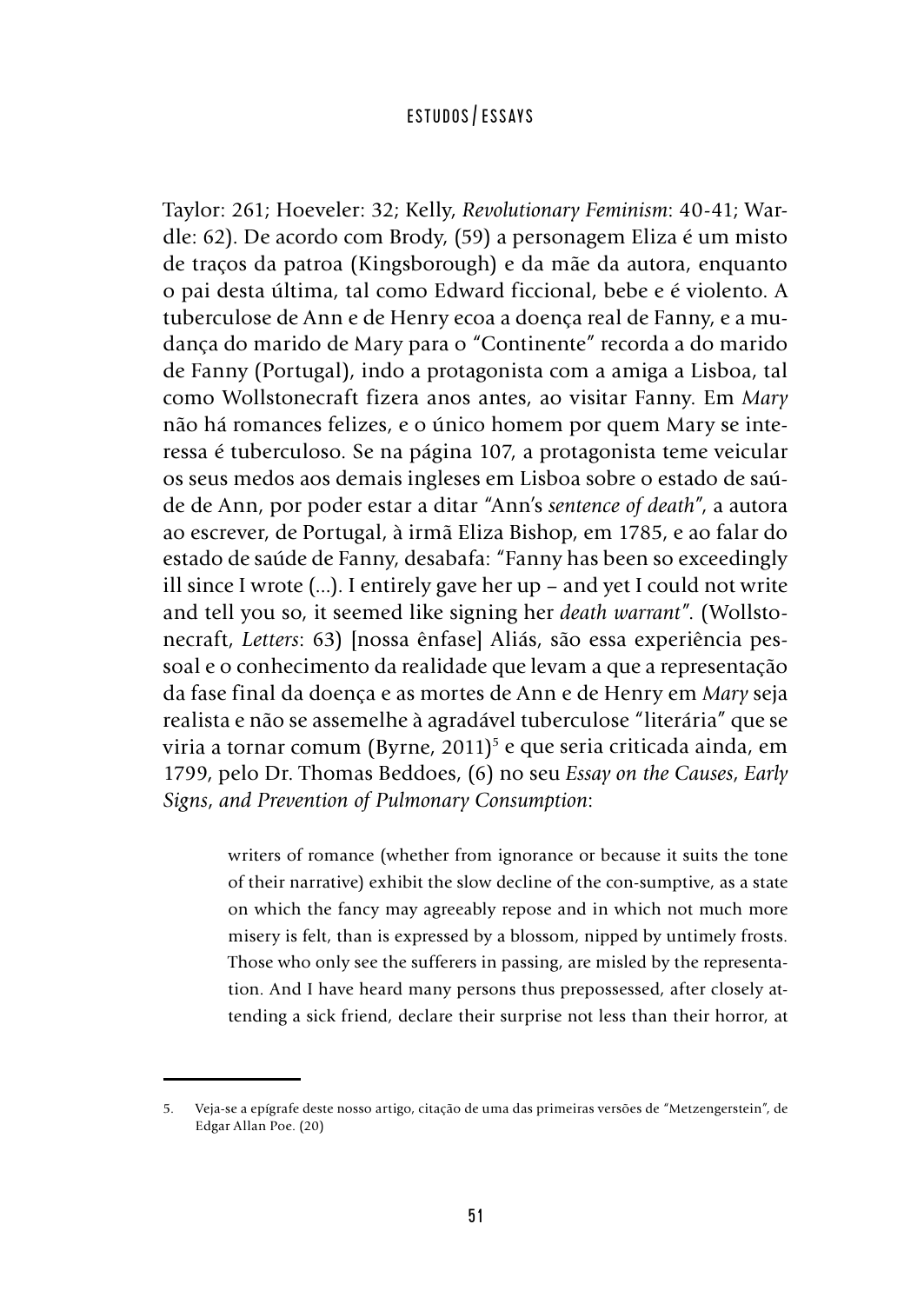Taylor: 261; Hoeveler: 32; Kelly, *Revolutionary Feminism*: 40-41; Wardle: 62). De acordo com Brody, (59) a personagem Eliza é um misto de traços da patroa (Kingsborough) e da mãe da autora, enquanto o pai desta última, tal como Edward ficcional, bebe e é violento. A tuberculose de Ann e de Henry ecoa a doença real de Fanny, e a mudança do marido de Mary para o "Continente" recorda a do marido de Fanny (Portugal), indo a protagonista com a amiga a Lisboa, tal como Wollstonecraft fizera anos antes, ao visitar Fanny. Em *Mary* não há romances felizes, e o único homem por quem Mary se interessa é tuberculoso. Se na página 107, a protagonista teme veicular os seus medos aos demais ingleses em Lisboa sobre o estado de saúde de Ann, por poder estar a ditar "Ann's *sentence of death*", a autora ao escrever, de Portugal, à irmã Eliza Bishop, em 1785, e ao falar do estado de saúde de Fanny, desabafa: "Fanny has been so exceedingly ill since I wrote (...). I entirely gave her up – and yet I could not write and tell you so, it seemed like signing her *death warrant*". (Wollstonecraft, *Letters*: 63) [nossa ênfase] Aliás, são essa experiência pessoal e o conhecimento da realidade que levam a que a representação da fase final da doença e as mortes de Ann e de Henry em *Mary* seja realista e não se assemelhe à agradável tuberculose "literária" que se viria a tornar comum (Byrne, 2011)<sup>5</sup> e que seria criticada ainda, em 1799, pelo Dr. Thomas Beddoes, (6) no seu *Essay on the Causes*, *Early Signs*, *and Prevention of Pulmonary Consumption*:

> writers of romance (whether from ignorance or because it suits the tone of their narrative) exhibit the slow decline of the con-sumptive, as a state on which the fancy may agreeably repose and in which not much more misery is felt, than is expressed by a blossom, nipped by untimely frosts. Those who only see the sufferers in passing, are misled by the representation. And I have heard many persons thus prepossessed, after closely attending a sick friend, declare their surprise not less than their horror, at

<sup>5.</sup> Veja-se a epígrafe deste nosso artigo, citação de uma das primeiras versões de "Metzengerstein", de Edgar Allan Poe. (20)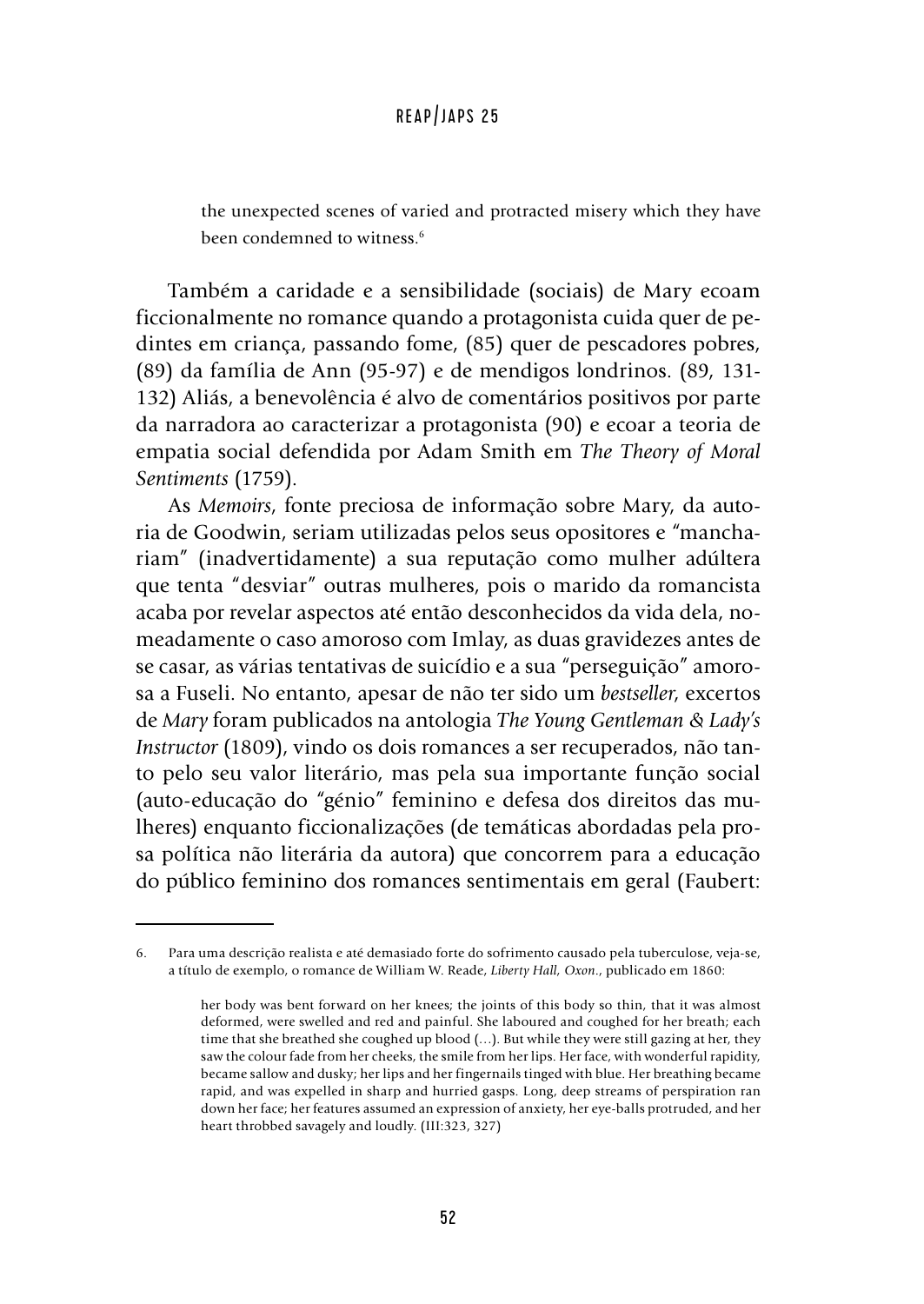the unexpected scenes of varied and protracted misery which they have been condemned to witness.<sup>6</sup>

Também a caridade e a sensibilidade (sociais) de Mary ecoam ficcionalmente no romance quando a protagonista cuida quer de pedintes em criança, passando fome, (85) quer de pescadores pobres, (89) da família de Ann (95-97) e de mendigos londrinos. (89, 131- 132) Aliás, a benevolência é alvo de comentários positivos por parte da narradora ao caracterizar a protagonista (90) e ecoar a teoria de empatia social defendida por Adam Smith em *The Theory of Moral Sentiments* (1759).

As *Memoirs*, fonte preciosa de informação sobre Mary, da autoria de Goodwin, seriam utilizadas pelos seus opositores e "manchariam" (inadvertidamente) a sua reputação como mulher adúltera que tenta "desviar" outras mulheres, pois o marido da romancista acaba por revelar aspectos até então desconhecidos da vida dela, nomeadamente o caso amoroso com Imlay, as duas gravidezes antes de se casar, as várias tentativas de suicídio e a sua "perseguição" amorosa a Fuseli. No entanto, apesar de não ter sido um *bestseller*, excertos de *Mary* foram publicados na antologia *The Young Gentleman & Lady's Instructor* (1809), vindo os dois romances a ser recuperados, não tanto pelo seu valor literário, mas pela sua importante função social (auto-educação do "génio" feminino e defesa dos direitos das mulheres) enquanto ficcionalizações (de temáticas abordadas pela prosa política não literária da autora) que concorrem para a educação do público feminino dos romances sentimentais em geral (Faubert:

<sup>6.</sup> Para uma descrição realista e até demasiado forte do sofrimento causado pela tuberculose, veja-se, a título de exemplo, o romance de William W. Reade, *Liberty Hall, Oxon*., publicado em 1860:

her body was bent forward on her knees; the joints of this body so thin, that it was almost deformed, were swelled and red and painful. She laboured and coughed for her breath; each time that she breathed she coughed up blood (…). But while they were still gazing at her, they saw the colour fade from her cheeks, the smile from her lips. Her face, with wonderful rapidity, became sallow and dusky; her lips and her fingernails tinged with blue. Her breathing became rapid, and was expelled in sharp and hurried gasps. Long, deep streams of perspiration ran down her face; her features assumed an expression of anxiety, her eye-balls protruded, and her heart throbbed savagely and loudly. (III:323, 327)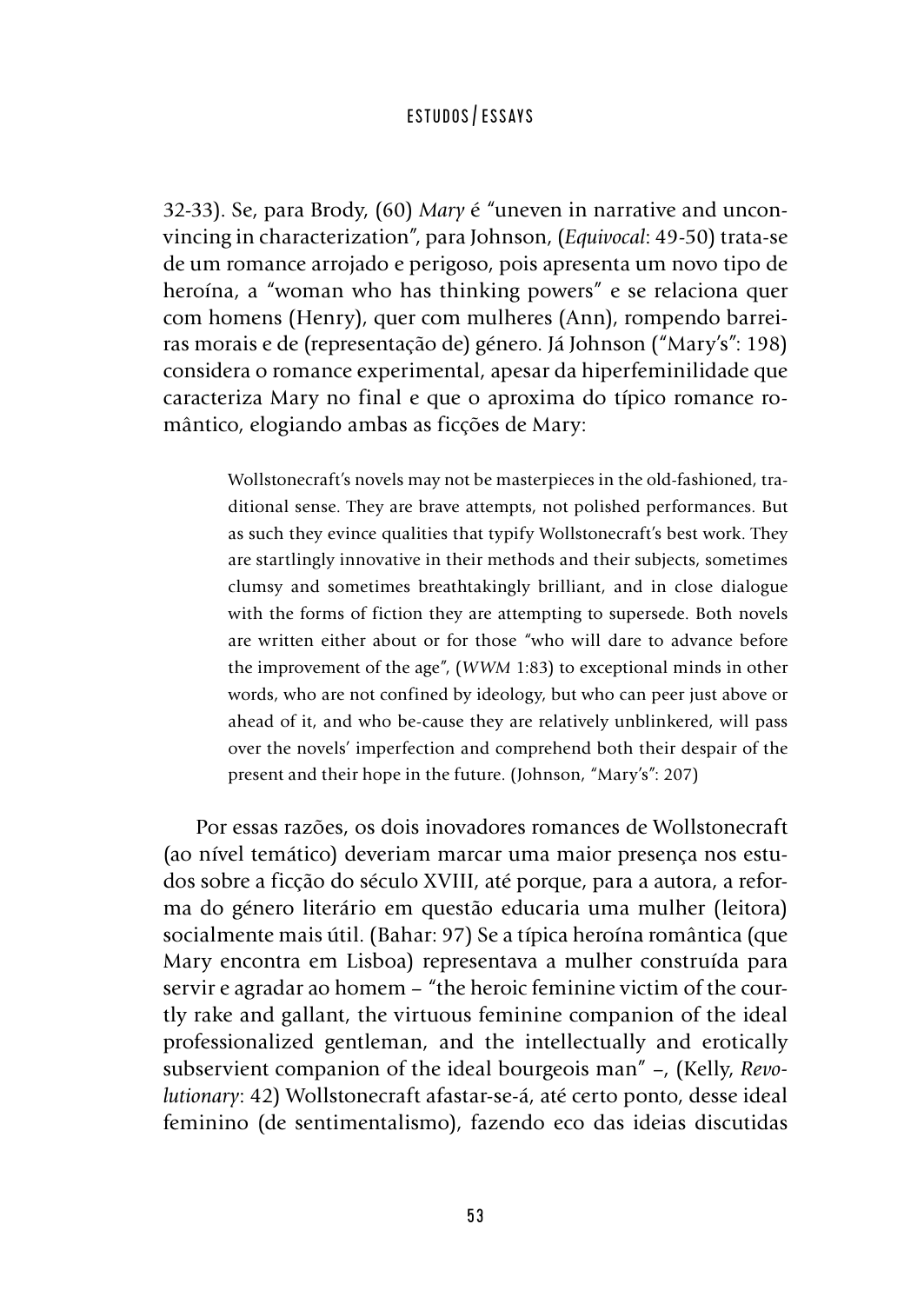32-33). Se, para Brody, (60) *Mary* é "uneven in narrative and unconvincing in characterization", para Johnson, (*Equivocal*: 49-50) trata-se de um romance arrojado e perigoso, pois apresenta um novo tipo de heroína, a "woman who has thinking powers" e se relaciona quer com homens (Henry), quer com mulheres (Ann), rompendo barreiras morais e de (representação de) género. Já Johnson ("Mary's": 198) considera o romance experimental, apesar da hiperfeminilidade que caracteriza Mary no final e que o aproxima do típico romance romântico, elogiando ambas as ficções de Mary:

> Wollstonecraft's novels may not be masterpieces in the old-fashioned, traditional sense. They are brave attempts, not polished performances. But as such they evince qualities that typify Wollstonecraft's best work. They are startlingly innovative in their methods and their subjects, sometimes clumsy and sometimes breathtakingly brilliant, and in close dialogue with the forms of fiction they are attempting to supersede. Both novels are written either about or for those "who will dare to advance before the improvement of the age", (*WWM* 1:83) to exceptional minds in other words, who are not confined by ideology, but who can peer just above or ahead of it, and who be-cause they are relatively unblinkered, will pass over the novels' imperfection and comprehend both their despair of the present and their hope in the future. (Johnson, "Mary's": 207)

Por essas razões, os dois inovadores romances de Wollstonecraft (ao nível temático) deveriam marcar uma maior presença nos estudos sobre a ficção do século XVIII, até porque, para a autora, a reforma do género literário em questão educaria uma mulher (leitora) socialmente mais útil. (Bahar: 97) Se a típica heroína romântica (que Mary encontra em Lisboa) representava a mulher construída para servir e agradar ao homem – "the heroic feminine victim of the courtly rake and gallant, the virtuous feminine companion of the ideal professionalized gentleman, and the intellectually and erotically subservient companion of the ideal bourgeois man" –, (Kelly, *Revolutionary*: 42) Wollstonecraft afastar-se-á, até certo ponto, desse ideal feminino (de sentimentalismo), fazendo eco das ideias discutidas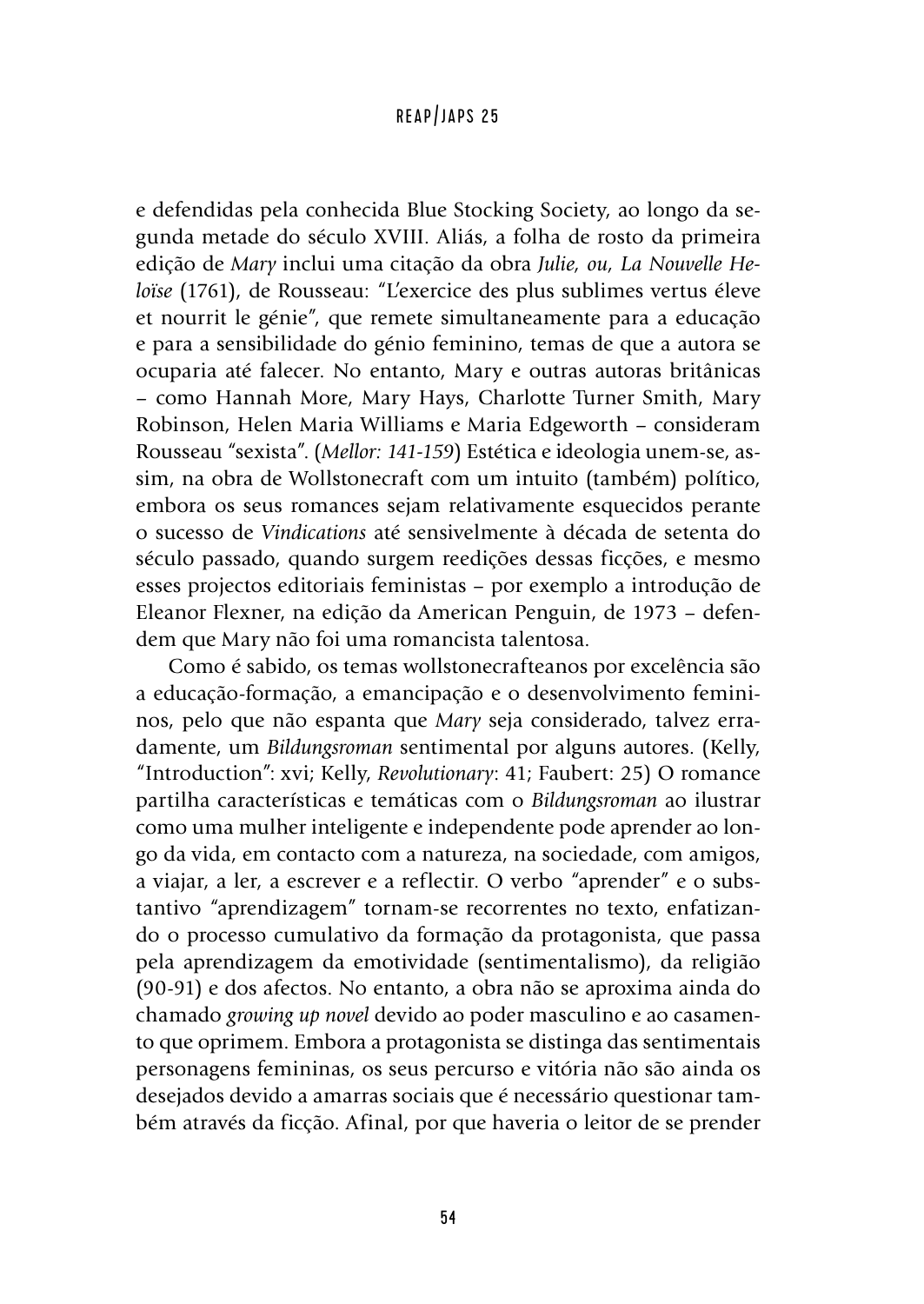e defendidas pela conhecida Blue Stocking Society, ao longo da segunda metade do século XVIII. Aliás, a folha de rosto da primeira edição de *Mary* inclui uma citação da obra *Julie, ou, La Nouvelle Heloïse* (1761), de Rousseau: "L'exercice des plus sublimes vertus éleve et nourrit le génie", que remete simultaneamente para a educação e para a sensibilidade do génio feminino, temas de que a autora se ocuparia até falecer. No entanto, Mary e outras autoras britânicas – como Hannah More, Mary Hays, Charlotte Turner Smith, Mary Robinson, Helen Maria Williams e Maria Edgeworth – consideram Rousseau "sexista". (*Mellor: 141-159*) Estética e ideologia unem-se, assim, na obra de Wollstonecraft com um intuito (também) político, embora os seus romances sejam relativamente esquecidos perante o sucesso de *Vindications* até sensivelmente à década de setenta do século passado, quando surgem reedições dessas ficções, e mesmo esses projectos editoriais feministas – por exemplo a introdução de Eleanor Flexner, na edição da American Penguin, de 1973 – defendem que Mary não foi uma romancista talentosa.

Como é sabido, os temas wollstonecrafteanos por excelência são a educação-formação, a emancipação e o desenvolvimento femininos, pelo que não espanta que *Mary* seja considerado, talvez erradamente, um *Bildungsroman* sentimental por alguns autores. (Kelly, "Introduction": xvi; Kelly, *Revolutionary*: 41; Faubert: 25) O romance partilha características e temáticas com o *Bildungsroman* ao ilustrar como uma mulher inteligente e independente pode aprender ao longo da vida, em contacto com a natureza, na sociedade, com amigos, a viajar, a ler, a escrever e a reflectir. O verbo "aprender" e o substantivo "aprendizagem" tornam-se recorrentes no texto, enfatizando o processo cumulativo da formação da protagonista, que passa pela aprendizagem da emotividade (sentimentalismo), da religião (90-91) e dos afectos. No entanto, a obra não se aproxima ainda do chamado *growing up novel* devido ao poder masculino e ao casamento que oprimem. Embora a protagonista se distinga das sentimentais personagens femininas, os seus percurso e vitória não são ainda os desejados devido a amarras sociais que é necessário questionar também através da ficção. Afinal, por que haveria o leitor de se prender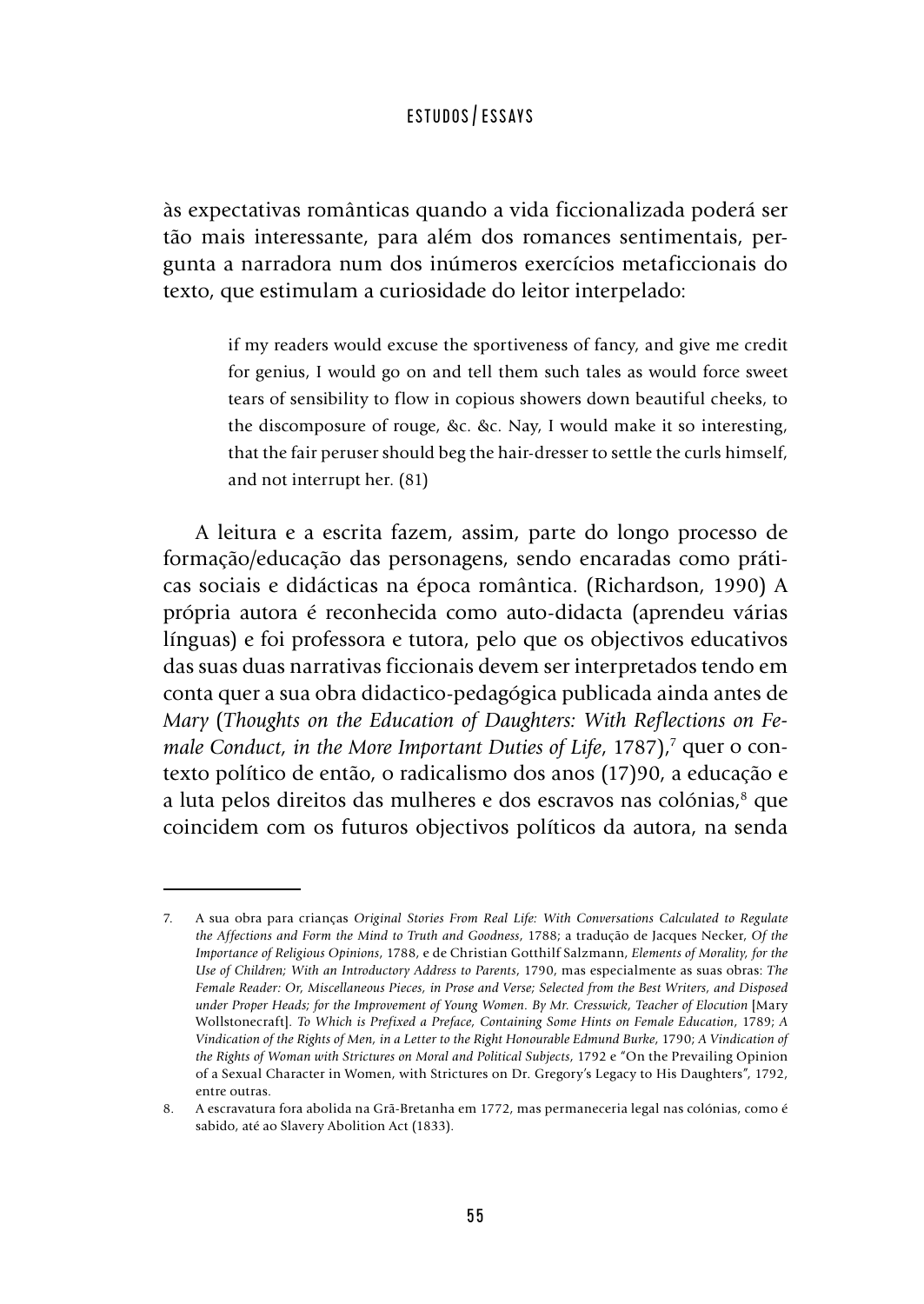às expectativas românticas quando a vida ficcionalizada poderá ser tão mais interessante, para além dos romances sentimentais, pergunta a narradora num dos inúmeros exercícios metaficcionais do texto, que estimulam a curiosidade do leitor interpelado:

> if my readers would excuse the sportiveness of fancy, and give me credit for genius, I would go on and tell them such tales as would force sweet tears of sensibility to flow in copious showers down beautiful cheeks, to the discomposure of rouge, &c. &c. Nay, I would make it so interesting, that the fair peruser should beg the hair-dresser to settle the curls himself, and not interrupt her. (81)

A leitura e a escrita fazem, assim, parte do longo processo de formação/educação das personagens, sendo encaradas como práticas sociais e didácticas na época romântica. (Richardson, 1990) A própria autora é reconhecida como auto-didacta (aprendeu várias línguas) e foi professora e tutora, pelo que os objectivos educativos das suas duas narrativas ficcionais devem ser interpretados tendo em conta quer a sua obra didactico-pedagógica publicada ainda antes de *Mary* (*Thoughts on the Education of Daughters: With Reflections on Fe*male Conduct, in the More Important Duties of Life, 1787),<sup>7</sup> quer o contexto político de então, o radicalismo dos anos (17)90, a educação e a luta pelos direitos das mulheres e dos escravos nas colónias,<sup>8</sup> que coincidem com os futuros objectivos políticos da autora, na senda

<sup>7.</sup> A sua obra para crianças *Original Stories From Real Life: With Conversations Calculated to Regulate the Affections and Form the Mind to Truth and Goodness*, 1788; a tradução de Jacques Necker, *Of the Importance of Religious Opinions*, 1788, e de Christian Gotthilf Salzmann, *Elements of Morality, for the Use of Children; With an Introductory Address to Parents*, 1790, mas especialmente as suas obras: *The Female Reader: Or, Miscellaneous Pieces, in Prose and Verse; Selected from the Best Writers, and Disposed under Proper Heads; for the Improvement of Young Women. By Mr. Cresswick, Teacher of Elocution* [Mary Wollstonecraft]*. To Which is Prefixed a Preface, Containing Some Hints on Female Education*, 1789; *A Vindication of the Rights of Men, in a Letter to the Right Honourable Edmund Burke*, 1790; *A Vindication of the Rights of Woman with Strictures on Moral and Political Subjects*, 1792 e "On the Prevailing Opinion of a Sexual Character in Women, with Strictures on Dr. Gregory's Legacy to His Daughters", 1792, entre outras.

<sup>8.</sup> A escravatura fora abolida na Grã-Bretanha em 1772, mas permaneceria legal nas colónias, como é sabido, até ao Slavery Abolition Act (1833).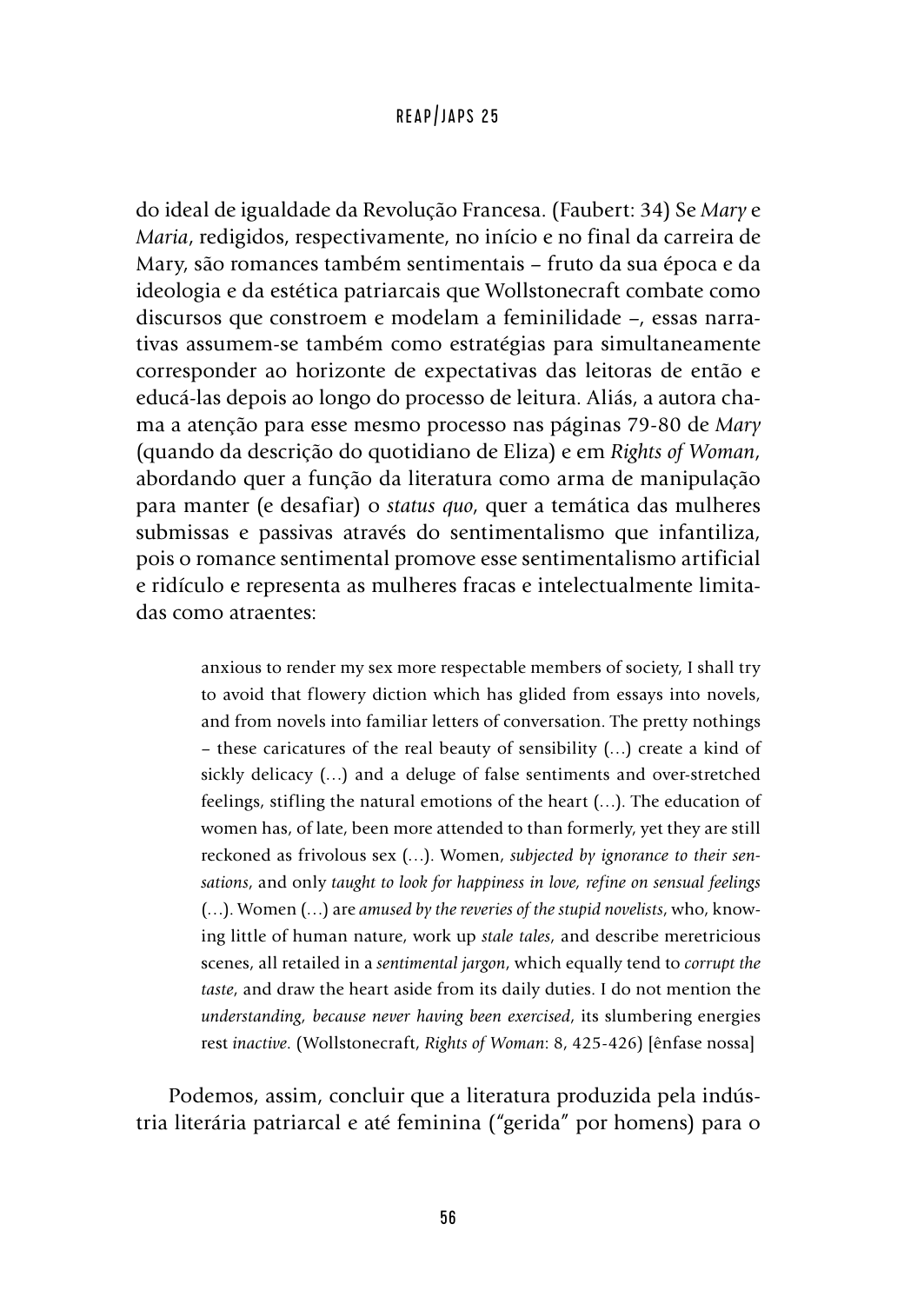do ideal de igualdade da Revolução Francesa. (Faubert: 34) Se *Mary* e *Maria*, redigidos, respectivamente, no início e no final da carreira de Mary, são romances também sentimentais – fruto da sua época e da ideologia e da estética patriarcais que Wollstonecraft combate como discursos que constroem e modelam a feminilidade –, essas narrativas assumem-se também como estratégias para simultaneamente corresponder ao horizonte de expectativas das leitoras de então e educá-las depois ao longo do processo de leitura. Aliás, a autora chama a atenção para esse mesmo processo nas páginas 79-80 de *Mary* (quando da descrição do quotidiano de Eliza) e em *Rights of Woman*, abordando quer a função da literatura como arma de manipulação para manter (e desafiar) o *status quo*, quer a temática das mulheres submissas e passivas através do sentimentalismo que infantiliza, pois o romance sentimental promove esse sentimentalismo artificial e ridículo e representa as mulheres fracas e intelectualmente limitadas como atraentes:

> anxious to render my sex more respectable members of society, I shall try to avoid that flowery diction which has glided from essays into novels, and from novels into familiar letters of conversation. The pretty nothings – these caricatures of the real beauty of sensibility (…) create a kind of sickly delicacy (…) and a deluge of false sentiments and over-stretched feelings, stifling the natural emotions of the heart (…). The education of women has, of late, been more attended to than formerly, yet they are still reckoned as frivolous sex (…). Women, *subjected by ignorance to their sensations*, and only *taught to look for happiness in love, refine on sensual feelings* (…). Women (…) are *amused by the reveries of the stupid novelists*, who, knowing little of human nature, work up *stale tales*, and describe meretricious scenes, all retailed in a *sentimental jargon*, which equally tend to *corrupt the taste*, and draw the heart aside from its daily duties. I do not mention the *understanding, because never having been exercised*, its slumbering energies rest *inactive*. (Wollstonecraft, *Rights of Woman*: 8, 425-426) [ênfase nossa]

Podemos, assim, concluir que a literatura produzida pela indústria literária patriarcal e até feminina ("gerida" por homens) para o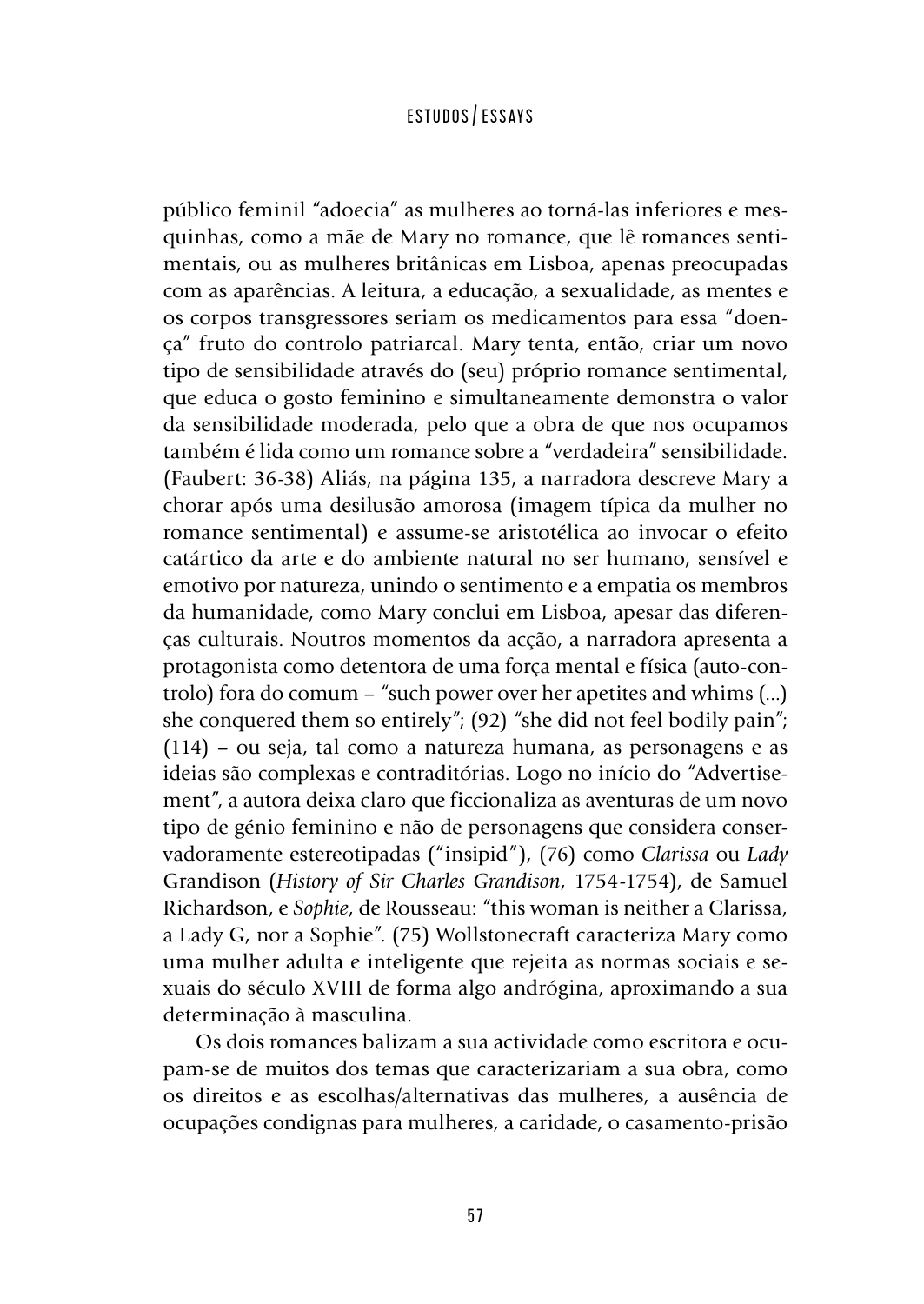público feminil "adoecia" as mulheres ao torná-las inferiores e mesquinhas, como a mãe de Mary no romance, que lê romances sentimentais, ou as mulheres britânicas em Lisboa, apenas preocupadas com as aparências. A leitura, a educação, a sexualidade, as mentes e os corpos transgressores seriam os medicamentos para essa "doença" fruto do controlo patriarcal. Mary tenta, então, criar um novo tipo de sensibilidade através do (seu) próprio romance sentimental, que educa o gosto feminino e simultaneamente demonstra o valor da sensibilidade moderada, pelo que a obra de que nos ocupamos também é lida como um romance sobre a "verdadeira" sensibilidade. (Faubert: 36-38) Aliás, na página 135, a narradora descreve Mary a chorar após uma desilusão amorosa (imagem típica da mulher no romance sentimental) e assume-se aristotélica ao invocar o efeito catártico da arte e do ambiente natural no ser humano, sensível e emotivo por natureza, unindo o sentimento e a empatia os membros da humanidade, como Mary conclui em Lisboa, apesar das diferenças culturais. Noutros momentos da acção, a narradora apresenta a protagonista como detentora de uma força mental e física (auto-controlo) fora do comum – "such power over her apetites and whims (...) she conquered them so entirely"; (92) "she did not feel bodily pain"; (114) – ou seja, tal como a natureza humana, as personagens e as ideias são complexas e contraditórias. Logo no início do "Advertisement", a autora deixa claro que ficcionaliza as aventuras de um novo tipo de génio feminino e não de personagens que considera conservadoramente estereotipadas ("insipid"), (76) como *Clarissa* ou *Lady* Grandison (*History of Sir Charles Grandison*, 1754-1754), de Samuel Richardson, e *Sophie*, de Rousseau: "this woman is neither a Clarissa, a Lady G, nor a Sophie". (75) Wollstonecraft caracteriza Mary como uma mulher adulta e inteligente que rejeita as normas sociais e sexuais do século XVIII de forma algo andrógina, aproximando a sua determinação à masculina.

Os dois romances balizam a sua actividade como escritora e ocupam-se de muitos dos temas que caracterizariam a sua obra, como os direitos e as escolhas/alternativas das mulheres, a ausência de ocupações condignas para mulheres, a caridade, o casamento-prisão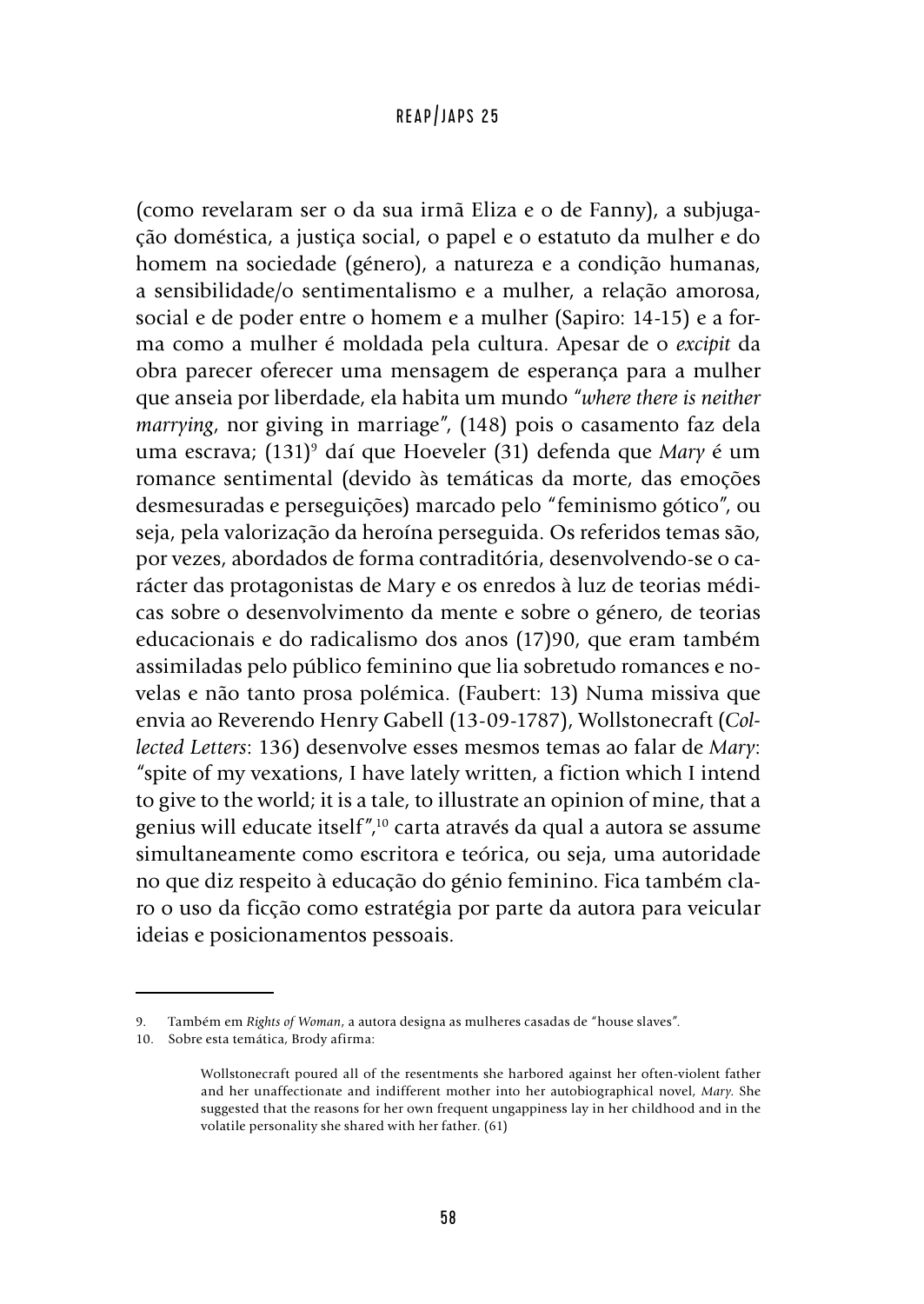(como revelaram ser o da sua irmã Eliza e o de Fanny), a subjugação doméstica, a justiça social, o papel e o estatuto da mulher e do homem na sociedade (género), a natureza e a condição humanas, a sensibilidade/o sentimentalismo e a mulher, a relação amorosa, social e de poder entre o homem e a mulher (Sapiro: 14-15) e a forma como a mulher é moldada pela cultura. Apesar de o *excipit* da obra parecer oferecer uma mensagem de esperança para a mulher que anseia por liberdade, ela habita um mundo "*where there is neither marrying*, nor giving in marriage", (148) pois o casamento faz dela uma escrava; (131)<sup>,</sup> daí que Hoeveler (31) defenda que *Mary* é um romance sentimental (devido às temáticas da morte, das emoções desmesuradas e perseguições) marcado pelo "feminismo gótico", ou seja, pela valorização da heroína perseguida. Os referidos temas são, por vezes, abordados de forma contraditória, desenvolvendo-se o carácter das protagonistas de Mary e os enredos à luz de teorias médicas sobre o desenvolvimento da mente e sobre o género, de teorias educacionais e do radicalismo dos anos (17)90, que eram também assimiladas pelo público feminino que lia sobretudo romances e novelas e não tanto prosa polémica. (Faubert: 13) Numa missiva que envia ao Reverendo Henry Gabell (13-09-1787), Wollstonecraft (*Collected Letters*: 136) desenvolve esses mesmos temas ao falar de *Mary*: "spite of my vexations, I have lately written, a fiction which I intend to give to the world; it is a tale, to illustrate an opinion of mine, that a genius will educate itself",10 carta através da qual a autora se assume simultaneamente como escritora e teórica, ou seja, uma autoridade no que diz respeito à educação do génio feminino. Fica também claro o uso da ficção como estratégia por parte da autora para veicular ideias e posicionamentos pessoais.

<sup>9.</sup> Também em *Rights of Woman*, a autora designa as mulheres casadas de "house slaves".

<sup>10.</sup> Sobre esta temática, Brody afirma:

Wollstonecraft poured all of the resentments she harbored against her often-violent father and her unaffectionate and indifferent mother into her autobiographical novel, *Mary*. She suggested that the reasons for her own frequent ungappiness lay in her childhood and in the volatile personality she shared with her father. (61)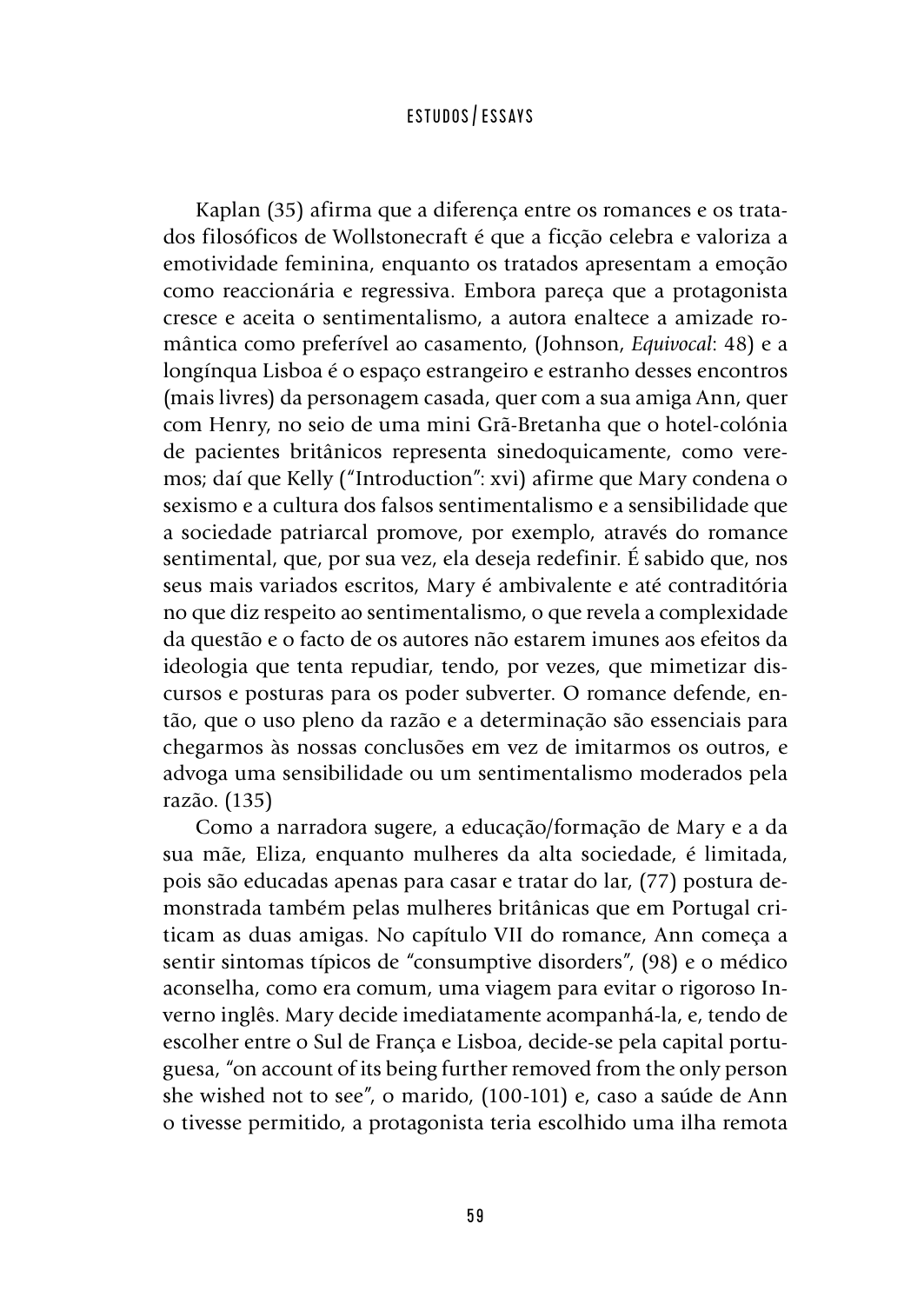Kaplan (35) afirma que a diferença entre os romances e os tratados filosóficos de Wollstonecraft é que a ficção celebra e valoriza a emotividade feminina, enquanto os tratados apresentam a emoção como reaccionária e regressiva. Embora pareça que a protagonista cresce e aceita o sentimentalismo, a autora enaltece a amizade romântica como preferível ao casamento, (Johnson, *Equivocal*: 48) e a longínqua Lisboa é o espaço estrangeiro e estranho desses encontros (mais livres) da personagem casada, quer com a sua amiga Ann, quer com Henry, no seio de uma mini Grã-Bretanha que o hotel-colónia de pacientes britânicos representa sinedoquicamente, como veremos; daí que Kelly ("Introduction": xvi) afirme que Mary condena o sexismo e a cultura dos falsos sentimentalismo e a sensibilidade que a sociedade patriarcal promove, por exemplo, através do romance sentimental, que, por sua vez, ela deseja redefinir. É sabido que, nos seus mais variados escritos, Mary é ambivalente e até contraditória no que diz respeito ao sentimentalismo, o que revela a complexidade da questão e o facto de os autores não estarem imunes aos efeitos da ideologia que tenta repudiar, tendo, por vezes, que mimetizar discursos e posturas para os poder subverter. O romance defende, então, que o uso pleno da razão e a determinação são essenciais para chegarmos às nossas conclusões em vez de imitarmos os outros, e advoga uma sensibilidade ou um sentimentalismo moderados pela razão. (135)

Como a narradora sugere, a educação/formação de Mary e a da sua mãe, Eliza, enquanto mulheres da alta sociedade, é limitada, pois são educadas apenas para casar e tratar do lar, (77) postura demonstrada também pelas mulheres britânicas que em Portugal criticam as duas amigas. No capítulo VII do romance, Ann começa a sentir sintomas típicos de "consumptive disorders", (98) e o médico aconselha, como era comum, uma viagem para evitar o rigoroso Inverno inglês. Mary decide imediatamente acompanhá-la, e, tendo de escolher entre o Sul de França e Lisboa, decide-se pela capital portuguesa, "on account of its being further removed from the only person she wished not to see", o marido, (100-101) e, caso a saúde de Ann o tivesse permitido, a protagonista teria escolhido uma ilha remota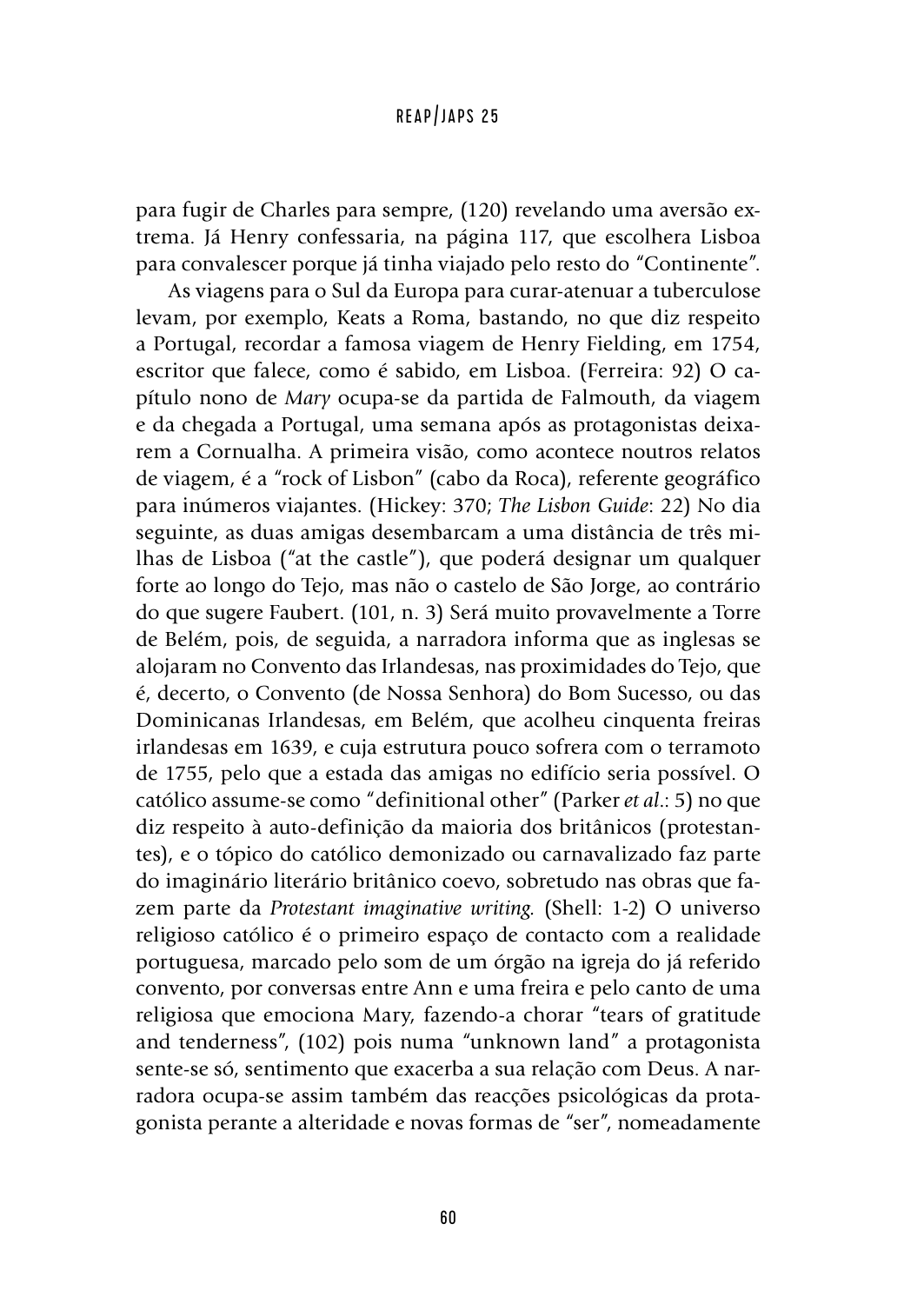para fugir de Charles para sempre, (120) revelando uma aversão extrema. Já Henry confessaria, na página 117, que escolhera Lisboa para convalescer porque já tinha viajado pelo resto do "Continente".

As viagens para o Sul da Europa para curar-atenuar a tuberculose levam, por exemplo, Keats a Roma, bastando, no que diz respeito a Portugal, recordar a famosa viagem de Henry Fielding, em 1754, escritor que falece, como é sabido, em Lisboa. (Ferreira: 92) O capítulo nono de *Mary* ocupa-se da partida de Falmouth, da viagem e da chegada a Portugal, uma semana após as protagonistas deixarem a Cornualha. A primeira visão, como acontece noutros relatos de viagem, é a "rock of Lisbon" (cabo da Roca), referente geográfico para inúmeros viajantes. (Hickey: 370; *The Lisbon Guide*: 22) No dia seguinte, as duas amigas desembarcam a uma distância de três milhas de Lisboa ("at the castle"), que poderá designar um qualquer forte ao longo do Tejo, mas não o castelo de São Jorge, ao contrário do que sugere Faubert. (101, n. 3) Será muito provavelmente a Torre de Belém, pois, de seguida, a narradora informa que as inglesas se alojaram no Convento das Irlandesas, nas proximidades do Tejo, que é, decerto, o Convento (de Nossa Senhora) do Bom Sucesso, ou das Dominicanas Irlandesas, em Belém, que acolheu cinquenta freiras irlandesas em 1639, e cuja estrutura pouco sofrera com o terramoto de 1755, pelo que a estada das amigas no edifício seria possível. O católico assume-se como "definitional other" (Parker *et al*.: 5) no que diz respeito à auto-definição da maioria dos britânicos (protestantes), e o tópico do católico demonizado ou carnavalizado faz parte do imaginário literário britânico coevo, sobretudo nas obras que fazem parte da *Protestant imaginative writing.* (Shell: 1-2) O universo religioso católico é o primeiro espaço de contacto com a realidade portuguesa, marcado pelo som de um órgão na igreja do já referido convento, por conversas entre Ann e uma freira e pelo canto de uma religiosa que emociona Mary, fazendo-a chorar "tears of gratitude and tenderness", (102) pois numa "unknown land" a protagonista sente-se só, sentimento que exacerba a sua relação com Deus. A narradora ocupa-se assim também das reacções psicológicas da protagonista perante a alteridade e novas formas de "ser", nomeadamente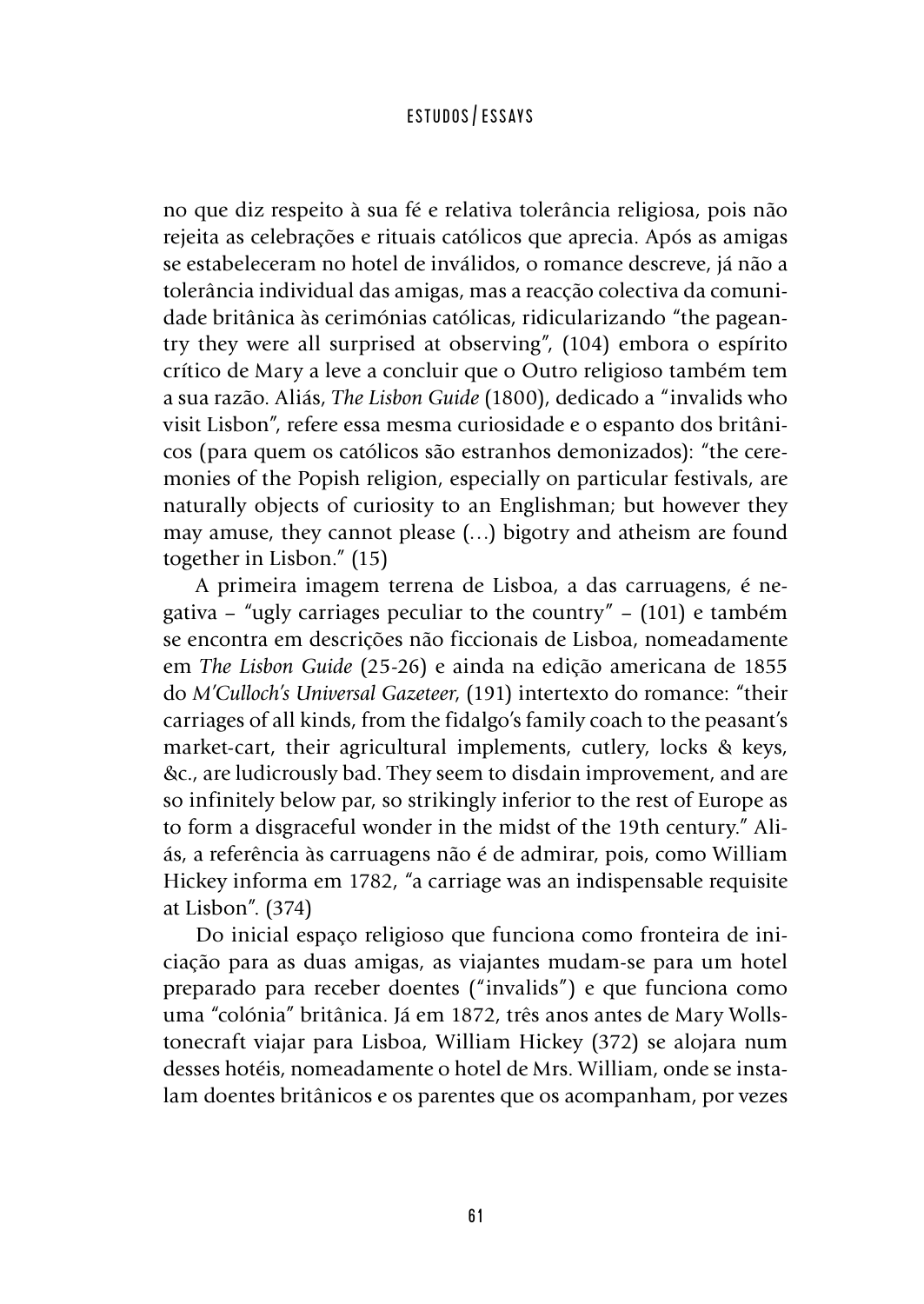no que diz respeito à sua fé e relativa tolerância religiosa, pois não rejeita as celebrações e rituais católicos que aprecia. Após as amigas se estabeleceram no hotel de inválidos, o romance descreve, já não a tolerância individual das amigas, mas a reacção colectiva da comunidade britânica às cerimónias católicas, ridicularizando "the pageantry they were all surprised at observing", (104) embora o espírito crítico de Mary a leve a concluir que o Outro religioso também tem a sua razão. Aliás, *The Lisbon Guide* (1800), dedicado a "invalids who visit Lisbon", refere essa mesma curiosidade e o espanto dos britânicos (para quem os católicos são estranhos demonizados): "the ceremonies of the Popish religion, especially on particular festivals, are naturally objects of curiosity to an Englishman; but however they may amuse, they cannot please (…) bigotry and atheism are found together in Lisbon." (15)

A primeira imagem terrena de Lisboa, a das carruagens, é negativa – "ugly carriages peculiar to the country" – (101) e também se encontra em descrições não ficcionais de Lisboa, nomeadamente em *The Lisbon Guide* (25-26) e ainda na edição americana de 1855 do *M'Culloch's Universal Gazeteer*, (191) intertexto do romance: "their carriages of all kinds, from the fidalgo's family coach to the peasant's market-cart, their agricultural implements, cutlery, locks & keys, &c., are ludicrously bad. They seem to disdain improvement, and are so infinitely below par, so strikingly inferior to the rest of Europe as to form a disgraceful wonder in the midst of the 19th century." Aliás, a referência às carruagens não é de admirar, pois, como William Hickey informa em 1782, "a carriage was an indispensable requisite at Lisbon". (374)

Do inicial espaço religioso que funciona como fronteira de iniciação para as duas amigas, as viajantes mudam-se para um hotel preparado para receber doentes ("invalids") e que funciona como uma "colónia" britânica. Já em 1872, três anos antes de Mary Wollstonecraft viajar para Lisboa, William Hickey (372) se alojara num desses hotéis, nomeadamente o hotel de Mrs. William, onde se instalam doentes britânicos e os parentes que os acompanham, por vezes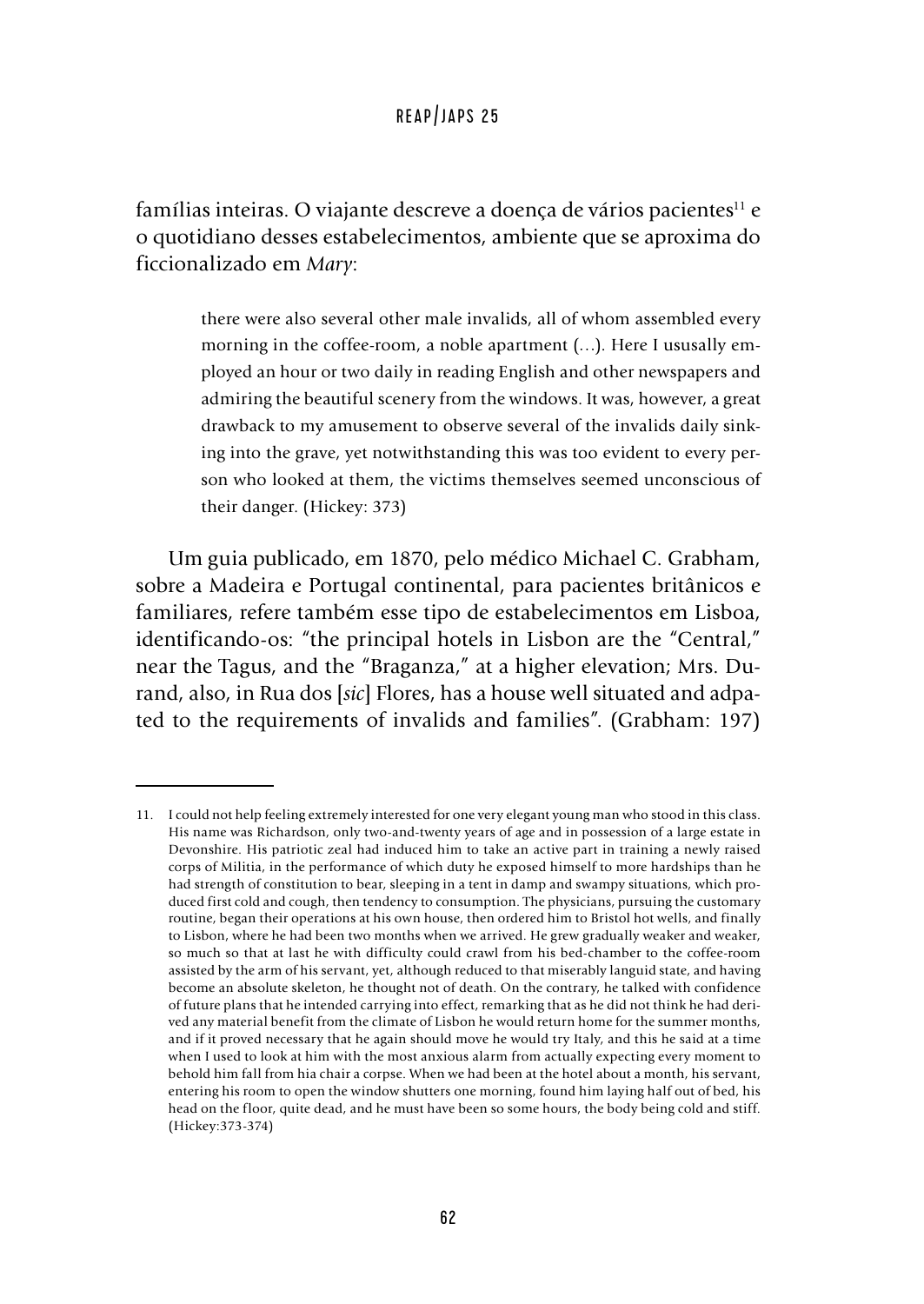famílias inteiras. O viajante descreve a doença de vários pacientes<sup>11</sup> e o quotidiano desses estabelecimentos, ambiente que se aproxima do ficcionalizado em *Mary*:

> there were also several other male invalids, all of whom assembled every morning in the coffee-room, a noble apartment (…). Here I ususally employed an hour or two daily in reading English and other newspapers and admiring the beautiful scenery from the windows. It was, however, a great drawback to my amusement to observe several of the invalids daily sinking into the grave, yet notwithstanding this was too evident to every person who looked at them, the victims themselves seemed unconscious of their danger. (Hickey: 373)

Um guia publicado, em 1870, pelo médico Michael C. Grabham, sobre a Madeira e Portugal continental, para pacientes britânicos e familiares, refere também esse tipo de estabelecimentos em Lisboa, identificando-os: "the principal hotels in Lisbon are the "Central," near the Tagus, and the "Braganza," at a higher elevation; Mrs. Durand, also, in Rua dos [*sic*] Flores, has a house well situated and adpated to the requirements of invalids and families". (Grabham: 197)

<sup>11.</sup> I could not help feeling extremely interested for one very elegant young man who stood in this class. His name was Richardson, only two-and-twenty years of age and in possession of a large estate in Devonshire. His patriotic zeal had induced him to take an active part in training a newly raised corps of Militia, in the performance of which duty he exposed himself to more hardships than he had strength of constitution to bear, sleeping in a tent in damp and swampy situations, which produced first cold and cough, then tendency to consumption. The physicians, pursuing the customary routine, began their operations at his own house, then ordered him to Bristol hot wells, and finally to Lisbon, where he had been two months when we arrived. He grew gradually weaker and weaker, so much so that at last he with difficulty could crawl from his bed-chamber to the coffee-room assisted by the arm of his servant, yet, although reduced to that miserably languid state, and having become an absolute skeleton, he thought not of death. On the contrary, he talked with confidence of future plans that he intended carrying into effect, remarking that as he did not think he had derived any material benefit from the climate of Lisbon he would return home for the summer months, and if it proved necessary that he again should move he would try Italy, and this he said at a time when I used to look at him with the most anxious alarm from actually expecting every moment to behold him fall from hia chair a corpse. When we had been at the hotel about a month, his servant, entering his room to open the window shutters one morning, found him laying half out of bed, his head on the floor, quite dead, and he must have been so some hours, the body being cold and stiff. (Hickey:373-374)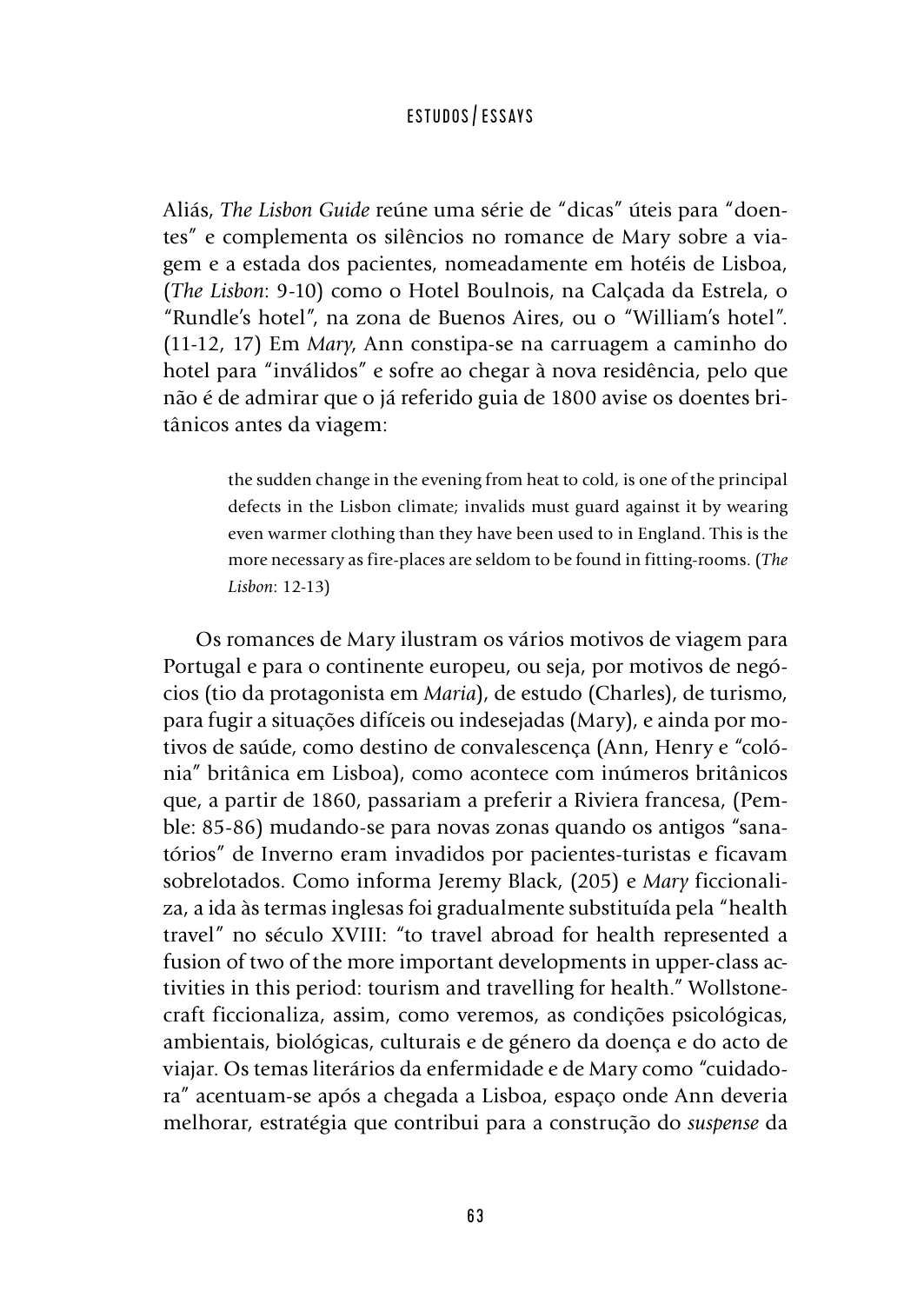Aliás, *The Lisbon Guide* reúne uma série de "dicas" úteis para "doentes" e complementa os silêncios no romance de Mary sobre a viagem e a estada dos pacientes, nomeadamente em hotéis de Lisboa, (*The Lisbon*: 9-10) como o Hotel Boulnois, na Calçada da Estrela, o "Rundle's hotel", na zona de Buenos Aires, ou o "William's hotel". (11-12, 17) Em *Mary*, Ann constipa-se na carruagem a caminho do hotel para "inválidos" e sofre ao chegar à nova residência, pelo que não é de admirar que o já referido guia de 1800 avise os doentes britânicos antes da viagem:

> the sudden change in the evening from heat to cold, is one of the principal defects in the Lisbon climate; invalids must guard against it by wearing even warmer clothing than they have been used to in England. This is the more necessary as fire-places are seldom to be found in fitting-rooms. (*The Lisbon*: 12-13)

Os romances de Mary ilustram os vários motivos de viagem para Portugal e para o continente europeu, ou seja, por motivos de negócios (tio da protagonista em *Maria*), de estudo (Charles), de turismo, para fugir a situações difíceis ou indesejadas (Mary), e ainda por motivos de saúde, como destino de convalescença (Ann, Henry e "colónia" britânica em Lisboa), como acontece com inúmeros britânicos que, a partir de 1860, passariam a preferir a Riviera francesa, (Pemble: 85-86) mudando-se para novas zonas quando os antigos "sanatórios" de Inverno eram invadidos por pacientes-turistas e ficavam sobrelotados. Como informa Jeremy Black, (205) e *Mary* ficcionaliza, a ida às termas inglesas foi gradualmente substituída pela "health travel" no século XVIII: "to travel abroad for health represented a fusion of two of the more important developments in upper-class activities in this period: tourism and travelling for health." Wollstonecraft ficcionaliza, assim, como veremos, as condições psicológicas, ambientais, biológicas, culturais e de género da doença e do acto de viajar. Os temas literários da enfermidade e de Mary como "cuidadora" acentuam-se após a chegada a Lisboa, espaço onde Ann deveria melhorar, estratégia que contribui para a construção do *suspense* da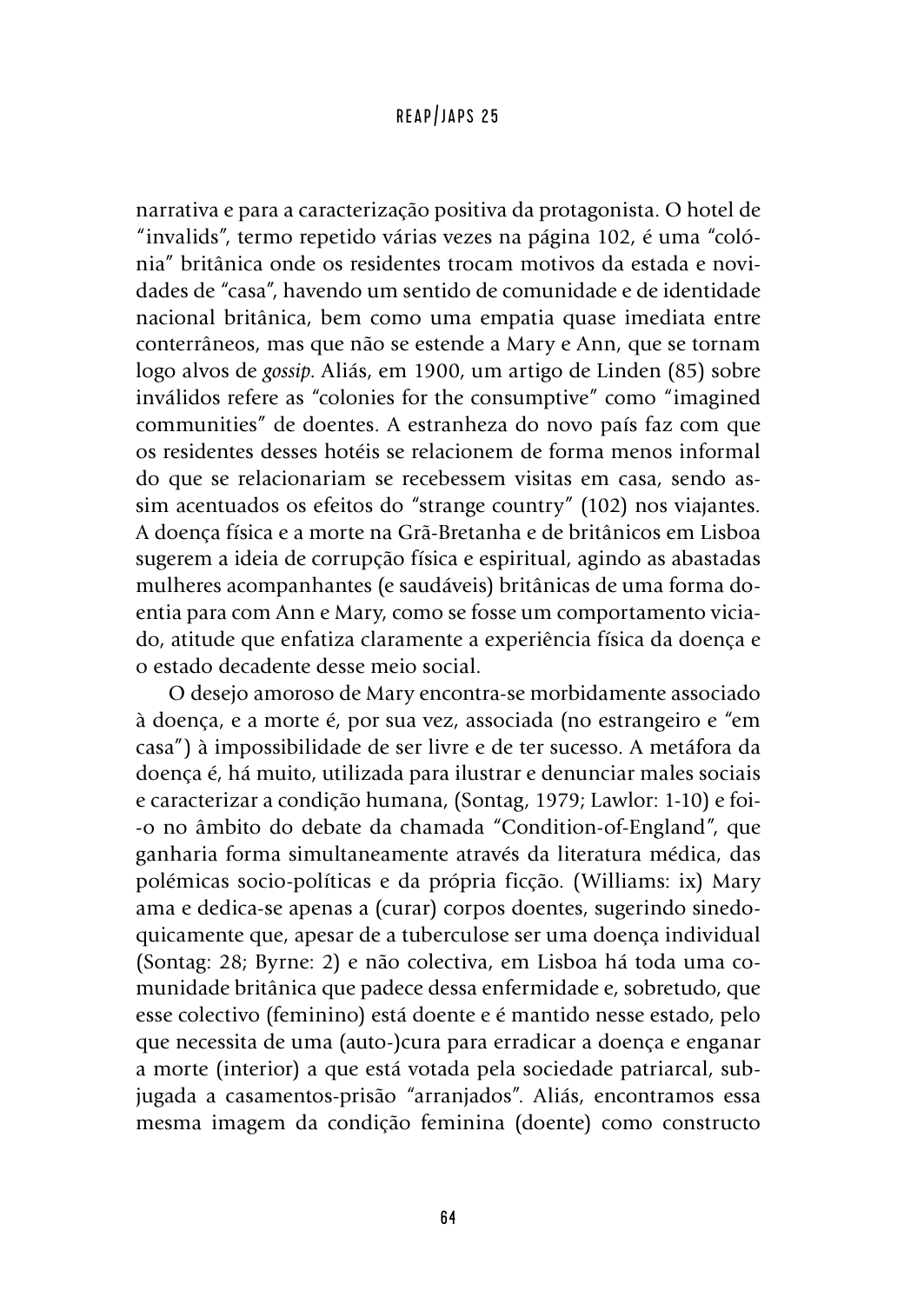narrativa e para a caracterização positiva da protagonista. O hotel de "invalids", termo repetido várias vezes na página 102, é uma "colónia" britânica onde os residentes trocam motivos da estada e novidades de "casa", havendo um sentido de comunidade e de identidade nacional britânica, bem como uma empatia quase imediata entre conterrâneos, mas que não se estende a Mary e Ann, que se tornam logo alvos de *gossip*. Aliás, em 1900, um artigo de Linden (85) sobre inválidos refere as "colonies for the consumptive" como "imagined communities" de doentes. A estranheza do novo país faz com que os residentes desses hotéis se relacionem de forma menos informal do que se relacionariam se recebessem visitas em casa, sendo assim acentuados os efeitos do "strange country" (102) nos viajantes. A doença física e a morte na Grã-Bretanha e de britânicos em Lisboa sugerem a ideia de corrupção física e espiritual, agindo as abastadas mulheres acompanhantes (e saudáveis) britânicas de uma forma doentia para com Ann e Mary, como se fosse um comportamento viciado, atitude que enfatiza claramente a experiência física da doença e o estado decadente desse meio social.

O desejo amoroso de Mary encontra-se morbidamente associado à doença, e a morte é, por sua vez, associada (no estrangeiro e "em casa") à impossibilidade de ser livre e de ter sucesso. A metáfora da doença é, há muito, utilizada para ilustrar e denunciar males sociais e caracterizar a condição humana, (Sontag, 1979; Lawlor: 1-10) e foi- -o no âmbito do debate da chamada "Condition-of-England", que ganharia forma simultaneamente através da literatura médica, das polémicas socio-políticas e da própria ficção. (Williams: ix) Mary ama e dedica-se apenas a (curar) corpos doentes, sugerindo sinedoquicamente que, apesar de a tuberculose ser uma doença individual (Sontag: 28; Byrne: 2) e não colectiva, em Lisboa há toda uma comunidade britânica que padece dessa enfermidade e, sobretudo, que esse colectivo (feminino) está doente e é mantido nesse estado, pelo que necessita de uma (auto-)cura para erradicar a doença e enganar a morte (interior) a que está votada pela sociedade patriarcal, subjugada a casamentos-prisão "arranjados". Aliás, encontramos essa mesma imagem da condição feminina (doente) como constructo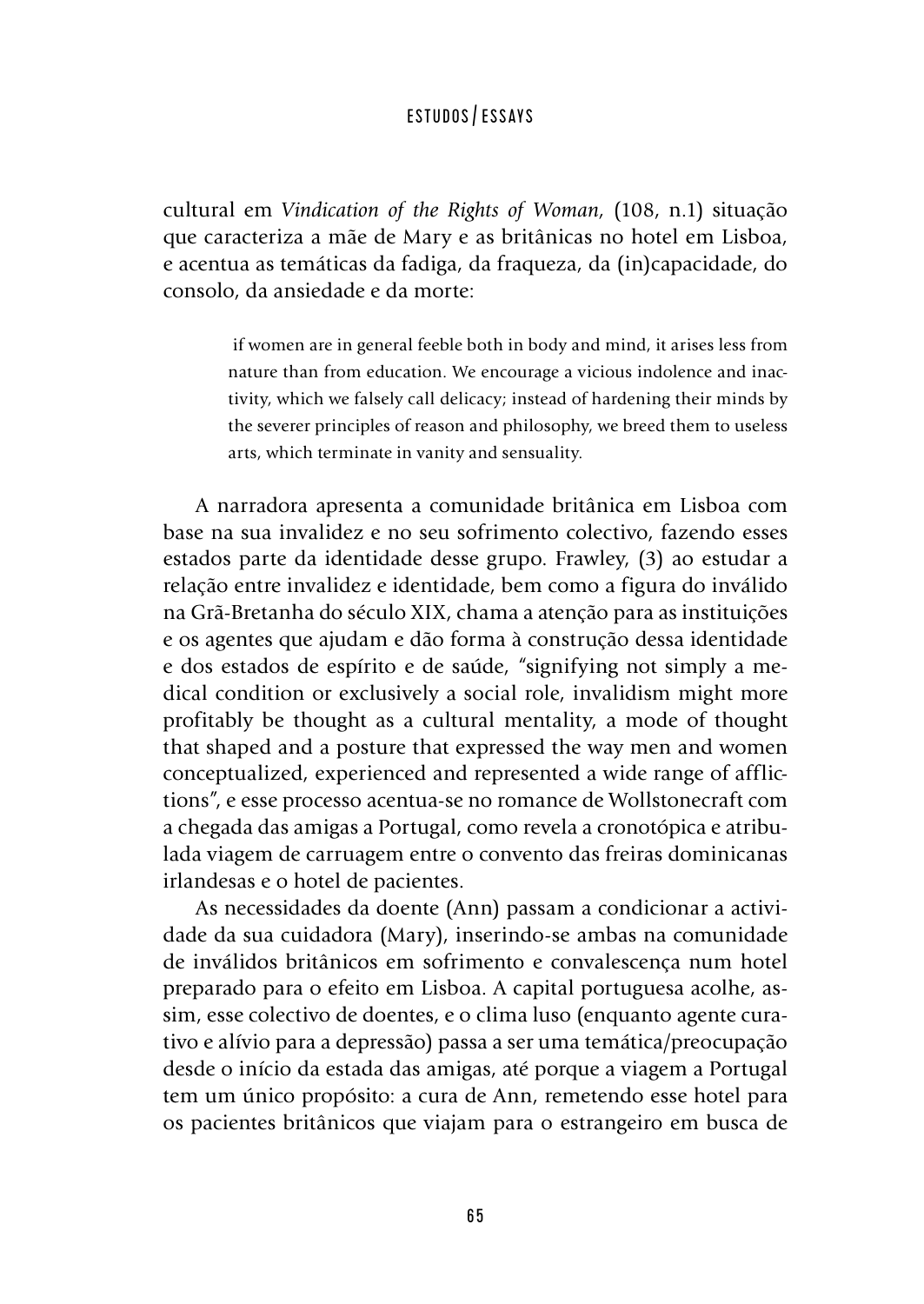cultural em *Vindication of the Rights of Woman,* (108, n.1) situação que caracteriza a mãe de Mary e as britânicas no hotel em Lisboa, e acentua as temáticas da fadiga, da fraqueza, da (in)capacidade, do consolo, da ansiedade e da morte:

> if women are in general feeble both in body and mind, it arises less from nature than from education. We encourage a vicious indolence and inactivity, which we falsely call delicacy; instead of hardening their minds by the severer principles of reason and philosophy, we breed them to useless arts, which terminate in vanity and sensuality.

A narradora apresenta a comunidade britânica em Lisboa com base na sua invalidez e no seu sofrimento colectivo, fazendo esses estados parte da identidade desse grupo. Frawley, (3) ao estudar a relação entre invalidez e identidade, bem como a figura do inválido na Grã-Bretanha do século XIX, chama a atenção para as instituições e os agentes que ajudam e dão forma à construção dessa identidade e dos estados de espírito e de saúde, "signifying not simply a medical condition or exclusively a social role, invalidism might more profitably be thought as a cultural mentality, a mode of thought that shaped and a posture that expressed the way men and women conceptualized, experienced and represented a wide range of afflictions", e esse processo acentua-se no romance de Wollstonecraft com a chegada das amigas a Portugal, como revela a cronotópica e atribulada viagem de carruagem entre o convento das freiras dominicanas irlandesas e o hotel de pacientes.

As necessidades da doente (Ann) passam a condicionar a actividade da sua cuidadora (Mary), inserindo-se ambas na comunidade de inválidos britânicos em sofrimento e convalescença num hotel preparado para o efeito em Lisboa. A capital portuguesa acolhe, assim, esse colectivo de doentes, e o clima luso (enquanto agente curativo e alívio para a depressão) passa a ser uma temática/preocupação desde o início da estada das amigas, até porque a viagem a Portugal tem um único propósito: a cura de Ann, remetendo esse hotel para os pacientes britânicos que viajam para o estrangeiro em busca de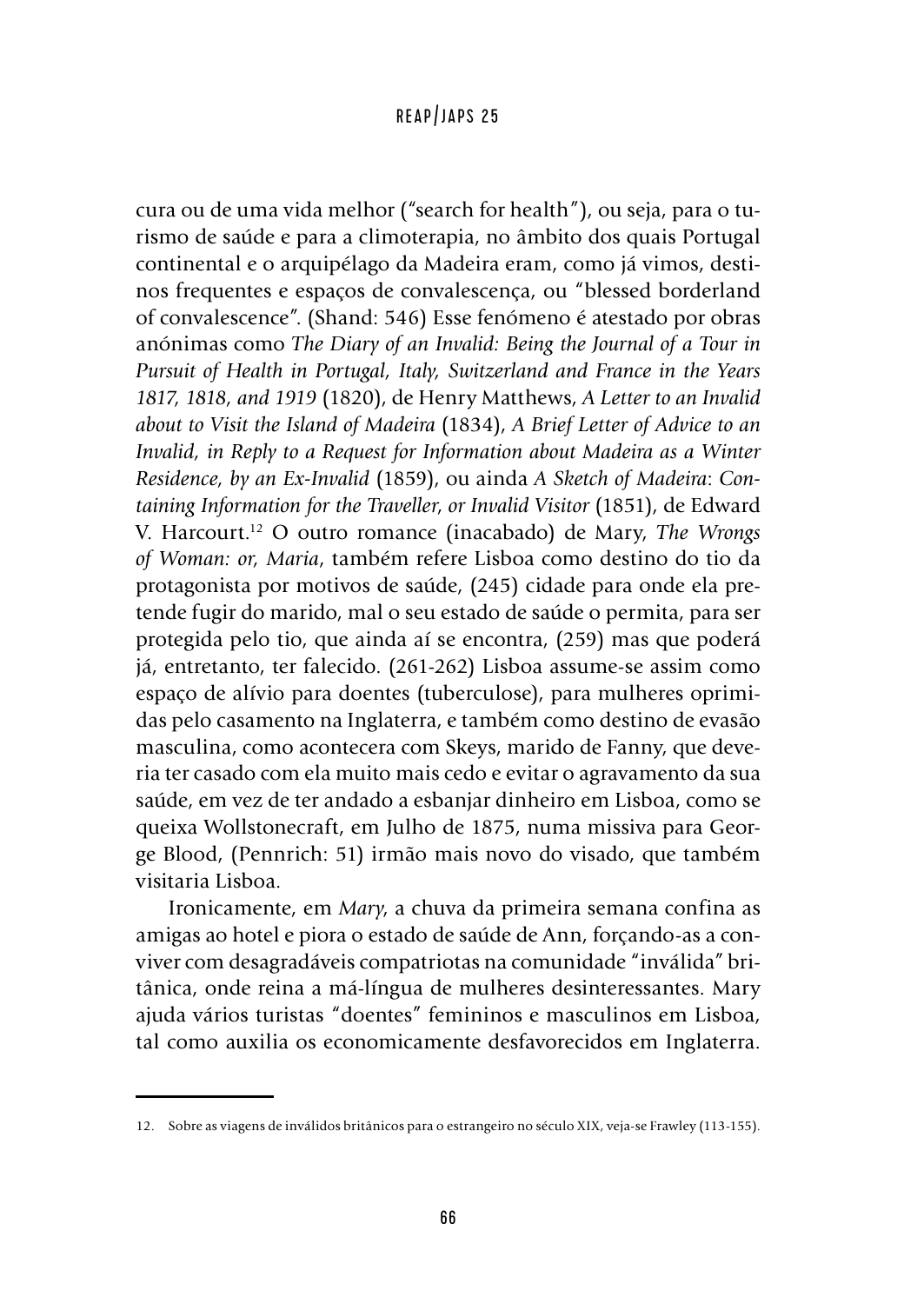cura ou de uma vida melhor ("search for health"), ou seja, para o turismo de saúde e para a climoterapia, no âmbito dos quais Portugal continental e o arquipélago da Madeira eram, como já vimos, destinos frequentes e espaços de convalescença, ou "blessed borderland of convalescence". (Shand: 546) Esse fenómeno é atestado por obras anónimas como *The Diary of an Invalid: Being the Journal of a Tour in Pursuit of Health in Portugal, Italy, Switzerland and France in the Years 1817, 1818, and 1919* (1820), de Henry Matthews, *A Letter to an Invalid about to Visit the Island of Madeira* (1834), *A Brief Letter of Advice to an Invalid, in Reply to a Request for Information about Madeira as a Winter Residence, by an Ex-Invalid* (1859), ou ainda *A Sketch of Madeira*: *Containing Information for the Traveller*, *or Invalid Visitor* (1851), de Edward V. Harcourt.12 O outro romance (inacabado) de Mary, *The Wrongs of Woman: or, Maria*, também refere Lisboa como destino do tio da protagonista por motivos de saúde, (245) cidade para onde ela pretende fugir do marido, mal o seu estado de saúde o permita, para ser protegida pelo tio, que ainda aí se encontra, (259) mas que poderá já, entretanto, ter falecido. (261-262) Lisboa assume-se assim como espaço de alívio para doentes (tuberculose), para mulheres oprimidas pelo casamento na Inglaterra, e também como destino de evasão masculina, como acontecera com Skeys, marido de Fanny, que deveria ter casado com ela muito mais cedo e evitar o agravamento da sua saúde, em vez de ter andado a esbanjar dinheiro em Lisboa, como se queixa Wollstonecraft, em Julho de 1875, numa missiva para George Blood, (Pennrich: 51) irmão mais novo do visado, que também visitaria Lisboa.

Ironicamente, em *Mary*, a chuva da primeira semana confina as amigas ao hotel e piora o estado de saúde de Ann, forçando-as a conviver com desagradáveis compatriotas na comunidade "inválida" britânica, onde reina a má-língua de mulheres desinteressantes. Mary ajuda vários turistas "doentes" femininos e masculinos em Lisboa, tal como auxilia os economicamente desfavorecidos em Inglaterra.

<sup>12.</sup> Sobre as viagens de inválidos britânicos para o estrangeiro no século XIX, veja-se Frawley (113-155).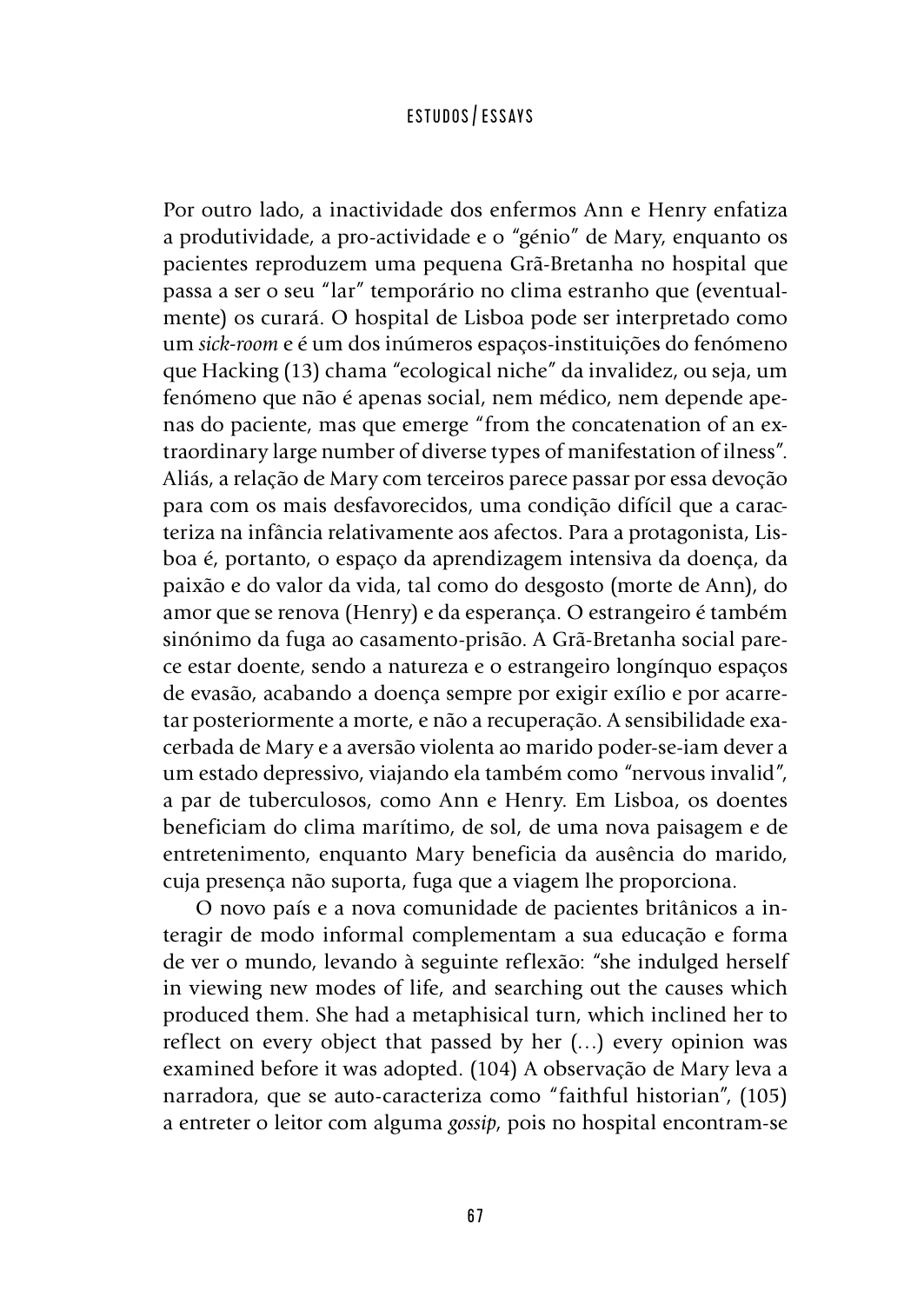Por outro lado, a inactividade dos enfermos Ann e Henry enfatiza a produtividade, a pro-actividade e o "génio" de Mary, enquanto os pacientes reproduzem uma pequena Grã-Bretanha no hospital que passa a ser o seu "lar" temporário no clima estranho que (eventualmente) os curará. O hospital de Lisboa pode ser interpretado como um *sick-room* e é um dos inúmeros espaços-instituições do fenómeno que Hacking (13) chama "ecological niche" da invalidez, ou seja, um fenómeno que não é apenas social, nem médico, nem depende apenas do paciente, mas que emerge "from the concatenation of an extraordinary large number of diverse types of manifestation of ilness". Aliás, a relação de Mary com terceiros parece passar por essa devoção para com os mais desfavorecidos, uma condição difícil que a caracteriza na infância relativamente aos afectos. Para a protagonista, Lisboa é, portanto, o espaço da aprendizagem intensiva da doença, da paixão e do valor da vida, tal como do desgosto (morte de Ann), do amor que se renova (Henry) e da esperança. O estrangeiro é também sinónimo da fuga ao casamento-prisão. A Grã-Bretanha social parece estar doente, sendo a natureza e o estrangeiro longínquo espaços de evasão, acabando a doença sempre por exigir exílio e por acarretar posteriormente a morte, e não a recuperação. A sensibilidade exacerbada de Mary e a aversão violenta ao marido poder-se-iam dever a um estado depressivo, viajando ela também como "nervous invalid", a par de tuberculosos, como Ann e Henry. Em Lisboa, os doentes beneficiam do clima marítimo, de sol, de uma nova paisagem e de entretenimento, enquanto Mary beneficia da ausência do marido, cuja presença não suporta, fuga que a viagem lhe proporciona.

O novo país e a nova comunidade de pacientes britânicos a interagir de modo informal complementam a sua educação e forma de ver o mundo, levando à seguinte reflexão: "she indulged herself in viewing new modes of life, and searching out the causes which produced them. She had a metaphisical turn, which inclined her to reflect on every object that passed by her (…) every opinion was examined before it was adopted. (104) A observação de Mary leva a narradora, que se auto-caracteriza como "faithful historian", (105) a entreter o leitor com alguma *gossip*, pois no hospital encontram-se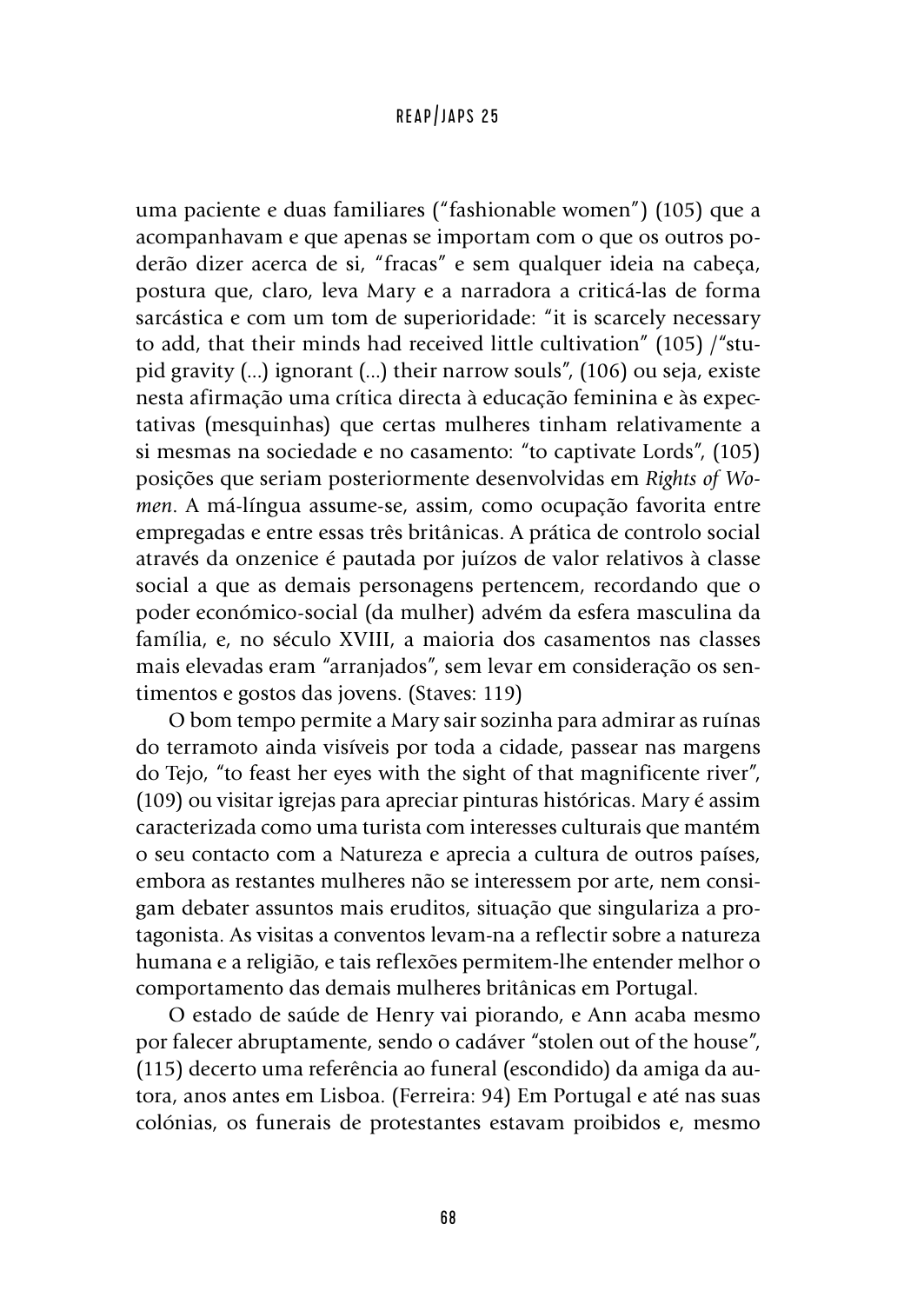uma paciente e duas familiares ("fashionable women") (105) que a acompanhavam e que apenas se importam com o que os outros poderão dizer acerca de si, "fracas" e sem qualquer ideia na cabeça, postura que, claro, leva Mary e a narradora a criticá-las de forma sarcástica e com um tom de superioridade: "it is scarcely necessary to add, that their minds had received little cultivation" (105) /"stupid gravity (...) ignorant (...) their narrow souls", (106) ou seja, existe nesta afirmação uma crítica directa à educação feminina e às expectativas (mesquinhas) que certas mulheres tinham relativamente a si mesmas na sociedade e no casamento: "to captivate Lords", (105) posições que seriam posteriormente desenvolvidas em *Rights of Women*. A má-língua assume-se, assim, como ocupação favorita entre empregadas e entre essas três britânicas. A prática de controlo social através da onzenice é pautada por juízos de valor relativos à classe social a que as demais personagens pertencem, recordando que o poder económico-social (da mulher) advém da esfera masculina da família, e, no século XVIII, a maioria dos casamentos nas classes mais elevadas eram "arranjados", sem levar em consideração os sentimentos e gostos das jovens. (Staves: 119)

O bom tempo permite a Mary sair sozinha para admirar as ruínas do terramoto ainda visíveis por toda a cidade, passear nas margens do Tejo, "to feast her eyes with the sight of that magnificente river", (109) ou visitar igrejas para apreciar pinturas históricas. Mary é assim caracterizada como uma turista com interesses culturais que mantém o seu contacto com a Natureza e aprecia a cultura de outros países, embora as restantes mulheres não se interessem por arte, nem consigam debater assuntos mais eruditos, situação que singulariza a protagonista. As visitas a conventos levam-na a reflectir sobre a natureza humana e a religião, e tais reflexões permitem-lhe entender melhor o comportamento das demais mulheres britânicas em Portugal.

O estado de saúde de Henry vai piorando, e Ann acaba mesmo por falecer abruptamente, sendo o cadáver "stolen out of the house", (115) decerto uma referência ao funeral (escondido) da amiga da autora, anos antes em Lisboa. (Ferreira: 94) Em Portugal e até nas suas colónias, os funerais de protestantes estavam proibidos e, mesmo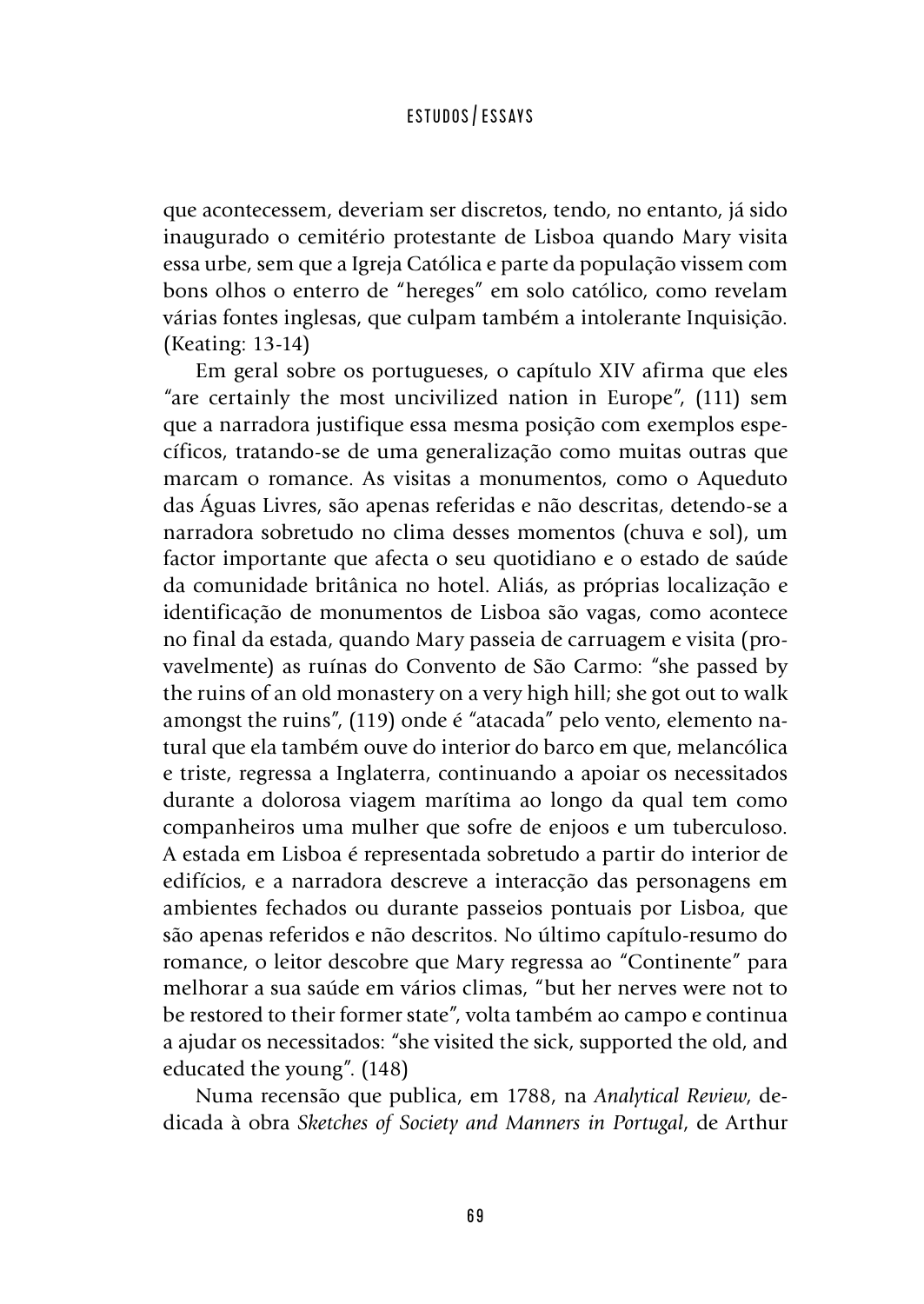que acontecessem, deveriam ser discretos, tendo, no entanto, já sido inaugurado o cemitério protestante de Lisboa quando Mary visita essa urbe, sem que a Igreja Católica e parte da população vissem com bons olhos o enterro de "hereges" em solo católico, como revelam várias fontes inglesas, que culpam também a intolerante Inquisição. (Keating: 13-14)

Em geral sobre os portugueses, o capítulo XIV afirma que eles "are certainly the most uncivilized nation in Europe", (111) sem que a narradora justifique essa mesma posição com exemplos específicos, tratando-se de uma generalização como muitas outras que marcam o romance. As visitas a monumentos, como o Aqueduto das Águas Livres, são apenas referidas e não descritas, detendo-se a narradora sobretudo no clima desses momentos (chuva e sol), um factor importante que afecta o seu quotidiano e o estado de saúde da comunidade britânica no hotel. Aliás, as próprias localização e identificação de monumentos de Lisboa são vagas, como acontece no final da estada, quando Mary passeia de carruagem e visita (provavelmente) as ruínas do Convento de São Carmo: "she passed by the ruins of an old monastery on a very high hill; she got out to walk amongst the ruins", (119) onde é "atacada" pelo vento, elemento natural que ela também ouve do interior do barco em que, melancólica e triste, regressa a Inglaterra, continuando a apoiar os necessitados durante a dolorosa viagem marítima ao longo da qual tem como companheiros uma mulher que sofre de enjoos e um tuberculoso. A estada em Lisboa é representada sobretudo a partir do interior de edifícios, e a narradora descreve a interacção das personagens em ambientes fechados ou durante passeios pontuais por Lisboa, que são apenas referidos e não descritos. No último capítulo-resumo do romance, o leitor descobre que Mary regressa ao "Continente" para melhorar a sua saúde em vários climas, "but her nerves were not to be restored to their former state", volta também ao campo e continua a ajudar os necessitados: "she visited the sick, supported the old, and educated the young". (148)

Numa recensão que publica, em 1788, na *Analytical Review*, dedicada à obra *Sketches of Society and Manners in Portugal*, de Arthur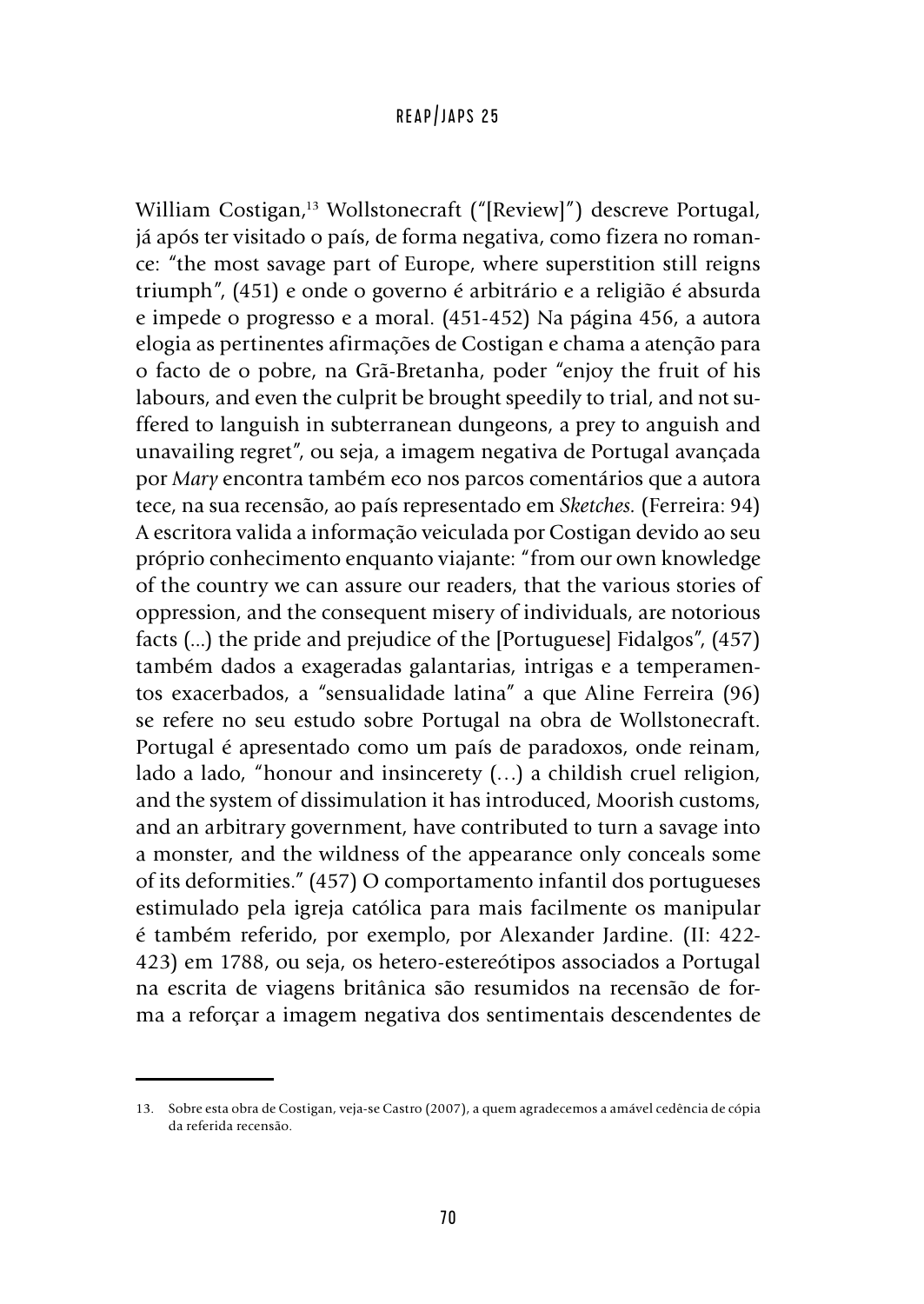William Costigan,<sup>13</sup> Wollstonecraft ("[Review]") descreve Portugal, já após ter visitado o país, de forma negativa, como fizera no romance: "the most savage part of Europe, where superstition still reigns triumph", (451) e onde o governo é arbitrário e a religião é absurda e impede o progresso e a moral. (451-452) Na página 456, a autora elogia as pertinentes afirmações de Costigan e chama a atenção para o facto de o pobre, na Grã-Bretanha, poder "enjoy the fruit of his labours, and even the culprit be brought speedily to trial, and not suffered to languish in subterranean dungeons, a prey to anguish and unavailing regret", ou seja, a imagem negativa de Portugal avançada por *Mary* encontra também eco nos parcos comentários que a autora tece, na sua recensão, ao país representado em *Sketches.* (Ferreira: 94) A escritora valida a informação veiculada por Costigan devido ao seu próprio conhecimento enquanto viajante: "from our own knowledge of the country we can assure our readers, that the various stories of oppression, and the consequent misery of individuals, are notorious facts (...) the pride and prejudice of the [Portuguese] Fidalgos", (457) também dados a exageradas galantarias, intrigas e a temperamentos exacerbados, a "sensualidade latina" a que Aline Ferreira (96) se refere no seu estudo sobre Portugal na obra de Wollstonecraft. Portugal é apresentado como um país de paradoxos, onde reinam, lado a lado, "honour and insincerety (…) a childish cruel religion, and the system of dissimulation it has introduced, Moorish customs, and an arbitrary government, have contributed to turn a savage into a monster, and the wildness of the appearance only conceals some of its deformities." (457) O comportamento infantil dos portugueses estimulado pela igreja católica para mais facilmente os manipular é também referido, por exemplo, por Alexander Jardine. (II: 422- 423) em 1788, ou seja, os hetero-estereótipos associados a Portugal na escrita de viagens britânica são resumidos na recensão de forma a reforçar a imagem negativa dos sentimentais descendentes de

<sup>13.</sup> Sobre esta obra de Costigan, veja-se Castro (2007), a quem agradecemos a amável cedência de cópia da referida recensão.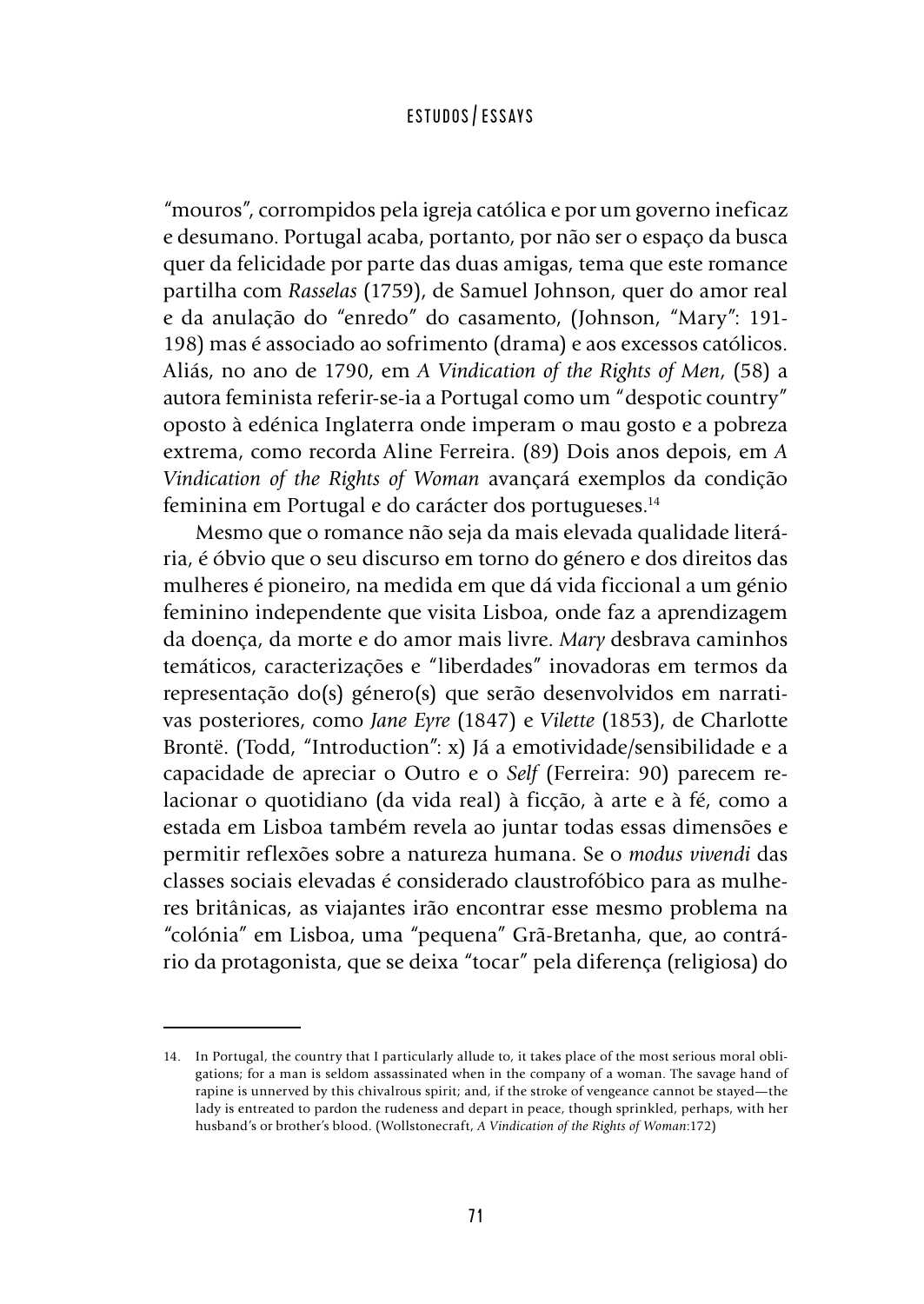"mouros", corrompidos pela igreja católica e por um governo ineficaz e desumano. Portugal acaba, portanto, por não ser o espaço da busca quer da felicidade por parte das duas amigas, tema que este romance partilha com *Rasselas* (1759), de Samuel Johnson, quer do amor real e da anulação do "enredo" do casamento, (Johnson, "Mary": 191- 198) mas é associado ao sofrimento (drama) e aos excessos católicos. Aliás, no ano de 1790, em *A Vindication of the Rights of Men*, (58) a autora feminista referir-se-ia a Portugal como um "despotic country" oposto à edénica Inglaterra onde imperam o mau gosto e a pobreza extrema, como recorda Aline Ferreira. (89) Dois anos depois, em *A Vindication of the Rights of Woman* avançará exemplos da condição feminina em Portugal e do carácter dos portugueses.14

Mesmo que o romance não seja da mais elevada qualidade literária, é óbvio que o seu discurso em torno do género e dos direitos das mulheres é pioneiro, na medida em que dá vida ficcional a um génio feminino independente que visita Lisboa, onde faz a aprendizagem da doença, da morte e do amor mais livre. *Mary* desbrava caminhos temáticos, caracterizações e "liberdades" inovadoras em termos da representação do(s) género(s) que serão desenvolvidos em narrativas posteriores, como *Jane Eyre* (1847) e *Vilette* (1853), de Charlotte Brontë. (Todd, "Introduction": x) Já a emotividade/sensibilidade e a capacidade de apreciar o Outro e o *Self* (Ferreira: 90) parecem relacionar o quotidiano (da vida real) à ficção, à arte e à fé, como a estada em Lisboa também revela ao juntar todas essas dimensões e permitir reflexões sobre a natureza humana. Se o *modus vivendi* das classes sociais elevadas é considerado claustrofóbico para as mulheres britânicas, as viajantes irão encontrar esse mesmo problema na "colónia" em Lisboa, uma "pequena" Grã-Bretanha, que, ao contrário da protagonista, que se deixa "tocar" pela diferença (religiosa) do

<sup>14.</sup> In Portugal, the country that I particularly allude to, it takes place of the most serious moral obligations; for a man is seldom assassinated when in the company of a woman. The savage hand of rapine is unnerved by this chivalrous spirit; and, if the stroke of vengeance cannot be stayed—the lady is entreated to pardon the rudeness and depart in peace, though sprinkled, perhaps, with her husband's or brother's blood. (Wollstonecraft, *A Vindication of the Rights of Woman*:172)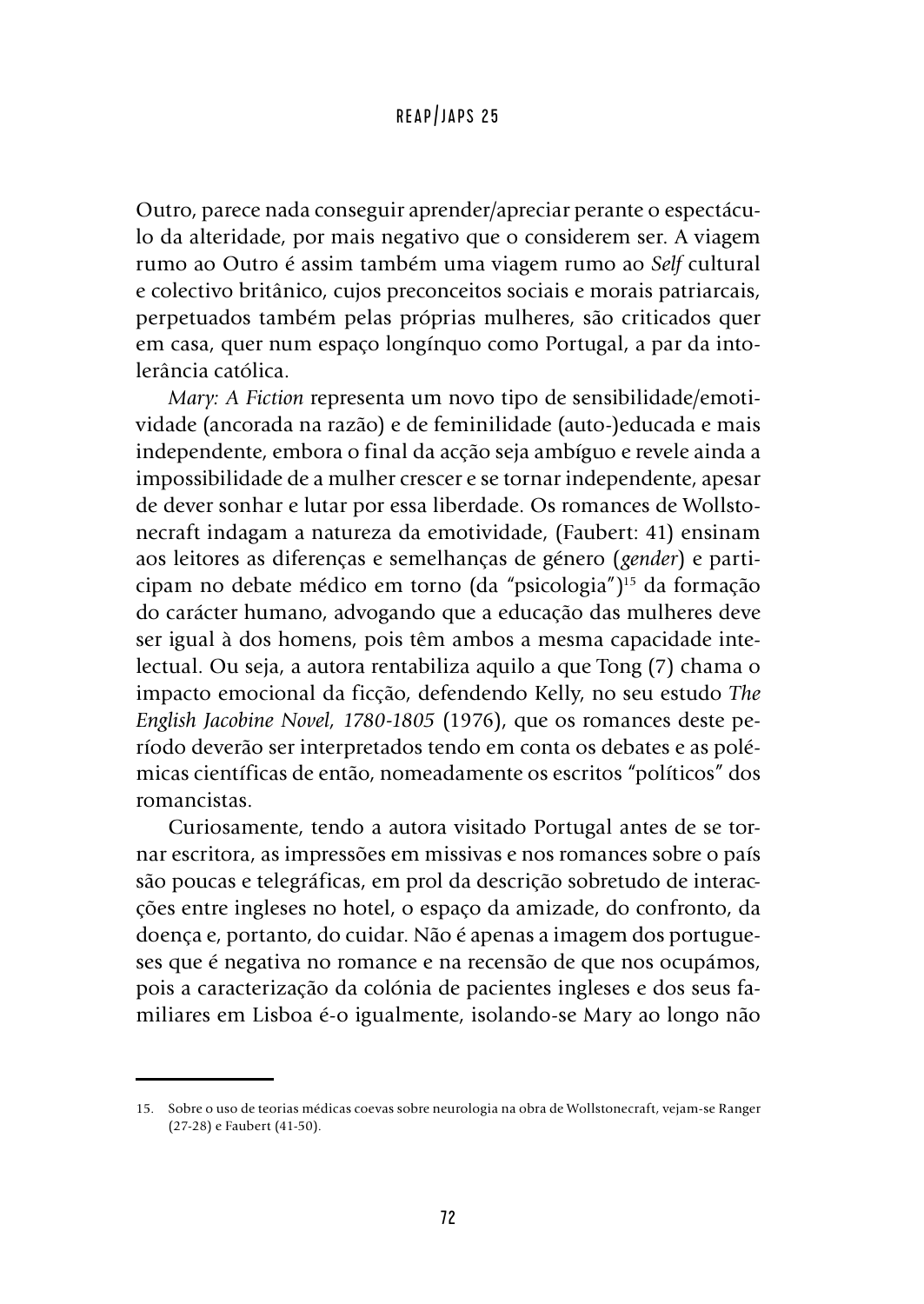Outro, parece nada conseguir aprender/apreciar perante o espectáculo da alteridade, por mais negativo que o considerem ser. A viagem rumo ao Outro é assim também uma viagem rumo ao *Self* cultural e colectivo britânico, cujos preconceitos sociais e morais patriarcais, perpetuados também pelas próprias mulheres, são criticados quer em casa, quer num espaço longínquo como Portugal, a par da intolerância católica.

*Mary: A Fiction* representa um novo tipo de sensibilidade/emotividade (ancorada na razão) e de feminilidade (auto-)educada e mais independente, embora o final da acção seja ambíguo e revele ainda a impossibilidade de a mulher crescer e se tornar independente, apesar de dever sonhar e lutar por essa liberdade. Os romances de Wollstonecraft indagam a natureza da emotividade, (Faubert: 41) ensinam aos leitores as diferenças e semelhanças de género (*gender*) e participam no debate médico em torno (da "psicologia")15 da formação do carácter humano, advogando que a educação das mulheres deve ser igual à dos homens, pois têm ambos a mesma capacidade intelectual. Ou seja, a autora rentabiliza aquilo a que Tong (7) chama o impacto emocional da ficção, defendendo Kelly, no seu estudo *The English Jacobine Novel, 1780-1805* (1976), que os romances deste período deverão ser interpretados tendo em conta os debates e as polémicas científicas de então, nomeadamente os escritos "políticos" dos romancistas.

Curiosamente, tendo a autora visitado Portugal antes de se tornar escritora, as impressões em missivas e nos romances sobre o país são poucas e telegráficas, em prol da descrição sobretudo de interacções entre ingleses no hotel, o espaço da amizade, do confronto, da doença e, portanto, do cuidar. Não é apenas a imagem dos portugueses que é negativa no romance e na recensão de que nos ocupámos, pois a caracterização da colónia de pacientes ingleses e dos seus familiares em Lisboa é-o igualmente, isolando-se Mary ao longo não

<sup>15.</sup> Sobre o uso de teorias médicas coevas sobre neurologia na obra de Wollstonecraft, vejam-se Ranger (27-28) e Faubert (41-50).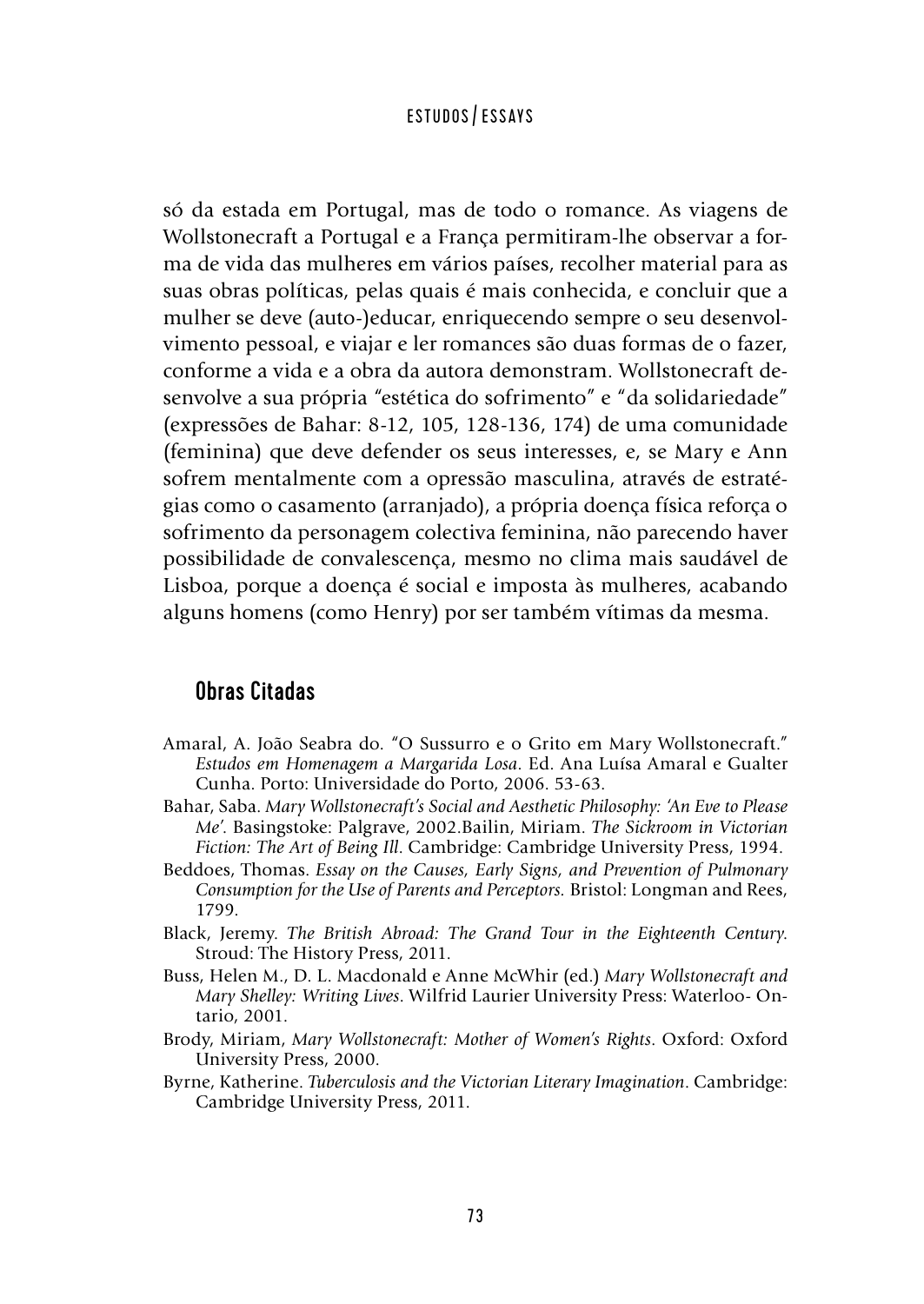só da estada em Portugal, mas de todo o romance. As viagens de Wollstonecraft a Portugal e a França permitiram-lhe observar a forma de vida das mulheres em vários países, recolher material para as suas obras políticas, pelas quais é mais conhecida, e concluir que a mulher se deve (auto-)educar, enriquecendo sempre o seu desenvolvimento pessoal, e viajar e ler romances são duas formas de o fazer, conforme a vida e a obra da autora demonstram. Wollstonecraft desenvolve a sua própria "estética do sofrimento" e "da solidariedade" (expressões de Bahar: 8-12, 105, 128-136, 174) de uma comunidade (feminina) que deve defender os seus interesses, e, se Mary e Ann sofrem mentalmente com a opressão masculina, através de estratégias como o casamento (arranjado), a própria doença física reforça o sofrimento da personagem colectiva feminina, não parecendo haver possibilidade de convalescença, mesmo no clima mais saudável de Lisboa, porque a doença é social e imposta às mulheres, acabando alguns homens (como Henry) por ser também vítimas da mesma.

# Obras Citadas

- Amaral, A. João Seabra do. "O Sussurro e o Grito em Mary Wollstonecraft." *Estudos em Homenagem a Margarida Losa*. Ed. Ana Luísa Amaral e Gualter Cunha. Porto: Universidade do Porto, 2006. 53-63.
- Bahar, Saba. *Mary Wollstonecraft's Social and Aesthetic Philosophy: 'An Eve to Please Me'*. Basingstoke: Palgrave, 2002.Bailin, Miriam. *The Sickroom in Victorian Fiction: The Art of Being Ill*. Cambridge: Cambridge University Press, 1994.
- Beddoes, Thomas. *Essay on the Causes, Early Signs, and Prevention of Pulmonary Consumption for the Use of Parents and Perceptors.* Bristol: Longman and Rees, 1799.
- Black, Jeremy. *The British Abroad: The Grand Tour in the Eighteenth Century*. Stroud: The History Press, 2011.
- Buss, Helen M., D. L. Macdonald e Anne McWhir (ed.) *Mary Wollstonecraft and Mary Shelley: Writing Lives*. Wilfrid Laurier University Press: Waterloo- Ontario, 2001.
- Brody, Miriam, *Mary Wollstonecraft: Mother of Women's Rights*. Oxford: Oxford University Press, 2000.
- Byrne, Katherine. *Tuberculosis and the Victorian Literary Imagination*. Cambridge: Cambridge University Press, 2011.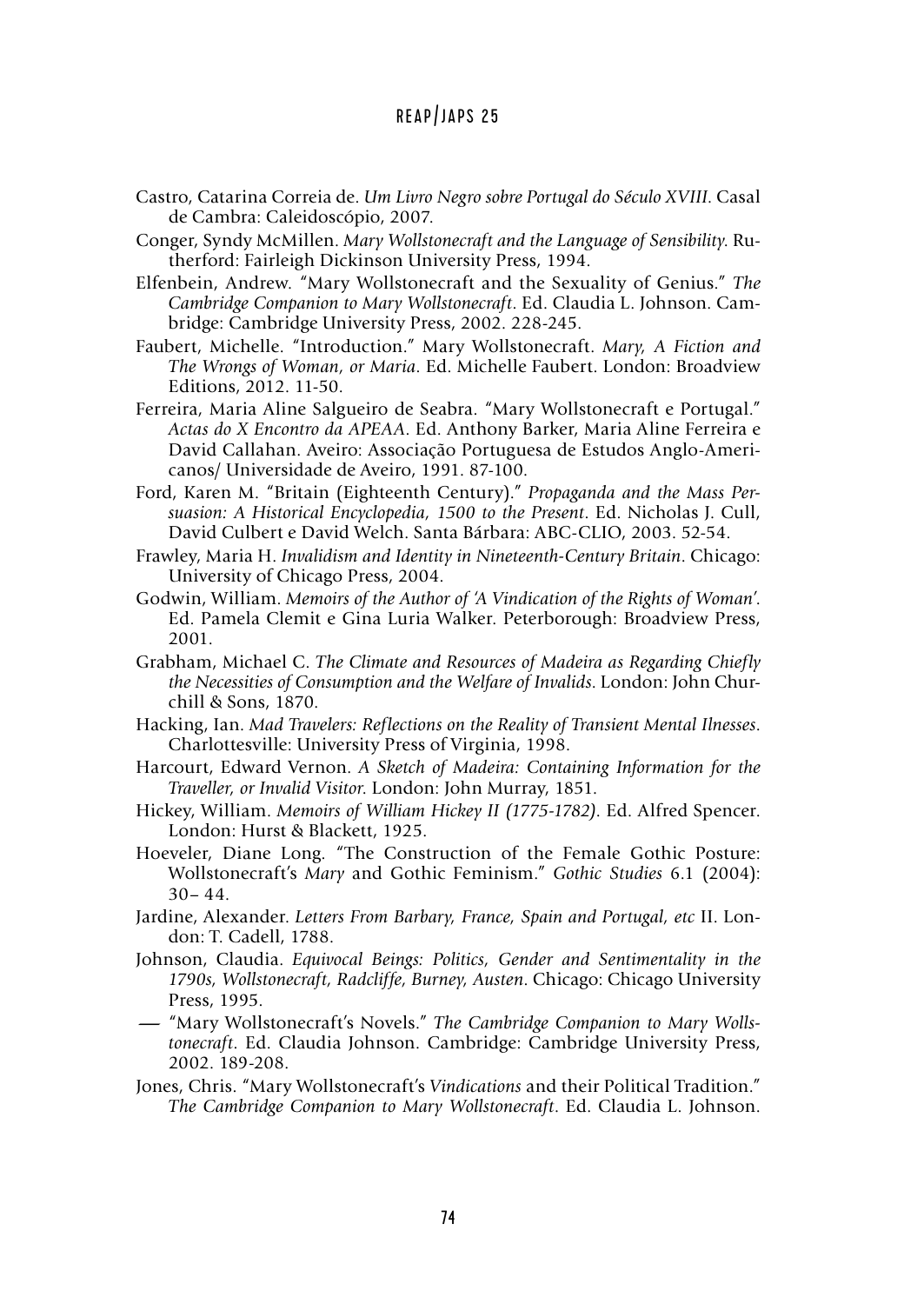- Castro, Catarina Correia de. *Um Livro Negro sobre Portugal do Século XVIII*. Casal de Cambra: Caleidoscópio, 2007.
- Conger, Syndy McMillen. *Mary Wollstonecraft and the Language of Sensibility*. Rutherford: Fairleigh Dickinson University Press, 1994.
- Elfenbein, Andrew. "Mary Wollstonecraft and the Sexuality of Genius." *The Cambridge Companion to Mary Wollstonecraft*. Ed. Claudia L. Johnson. Cambridge: Cambridge University Press, 2002. 228-245.
- Faubert, Michelle. "Introduction." Mary Wollstonecraft. *Mary, A Fiction and The Wrongs of Woman, or Maria*. Ed. Michelle Faubert. London: Broadview Editions, 2012. 11-50.
- Ferreira, Maria Aline Salgueiro de Seabra. "Mary Wollstonecraft e Portugal." *Actas do X Encontro da APEAA*. Ed. Anthony Barker, Maria Aline Ferreira e David Callahan. Aveiro: Associação Portuguesa de Estudos Anglo-Americanos/ Universidade de Aveiro, 1991. 87-100.
- Ford, Karen M. "Britain (Eighteenth Century)." *Propaganda and the Mass Persuasion: A Historical Encyclopedia, 1500 to the Present*. Ed. Nicholas J. Cull, David Culbert e David Welch. Santa Bárbara: ABC-CLIO, 2003. 52-54.
- Frawley, Maria H. *Invalidism and Identity in Nineteenth-Century Britain*. Chicago: University of Chicago Press, 2004.
- Godwin, William. *Memoirs of the Author of 'A Vindication of the Rights of Woman'*. Ed. Pamela Clemit e Gina Luria Walker. Peterborough: Broadview Press, 2001.
- Grabham, Michael C. *The Climate and Resources of Madeira as Regarding Chiefly the Necessities of Consumption and the Welfare of Invalids*. London: John Churchill & Sons, 1870.
- Hacking, Ian. *Mad Travelers: Reflections on the Reality of Transient Mental Ilnesses*. Charlottesville: University Press of Virginia, 1998.
- Harcourt, Edward Vernon. *A Sketch of Madeira: Containing Information for the Traveller, or Invalid Visitor*. London: John Murray, 1851.
- Hickey, William. *Memoirs of William Hickey II (1775-1782)*. Ed. Alfred Spencer. London: Hurst & Blackett, 1925.
- Hoeveler, Diane Long. "The Construction of the Female Gothic Posture: Wollstonecraft's *Mary* and Gothic Feminism." *Gothic Studies* 6.1 (2004): 30– 44.
- Jardine, Alexander. *Letters From Barbary, France, Spain and Portugal, etc* II. London: T. Cadell, 1788.
- Johnson, Claudia. *Equivocal Beings: Politics, Gender and Sentimentality in the 1790s, Wollstonecraft, Radcliffe, Burney, Austen*. Chicago: Chicago University Press, 1995.
- **-**"Mary Wollstonecraft's Novels." *The Cambridge Companion to Mary Wollstonecraft*. Ed. Claudia Johnson. Cambridge: Cambridge University Press, 2002. 189-208.
- Jones, Chris. "Mary Wollstonecraft's *Vindications* and their Political Tradition." *The Cambridge Companion to Mary Wollstonecraft*. Ed. Claudia L. Johnson.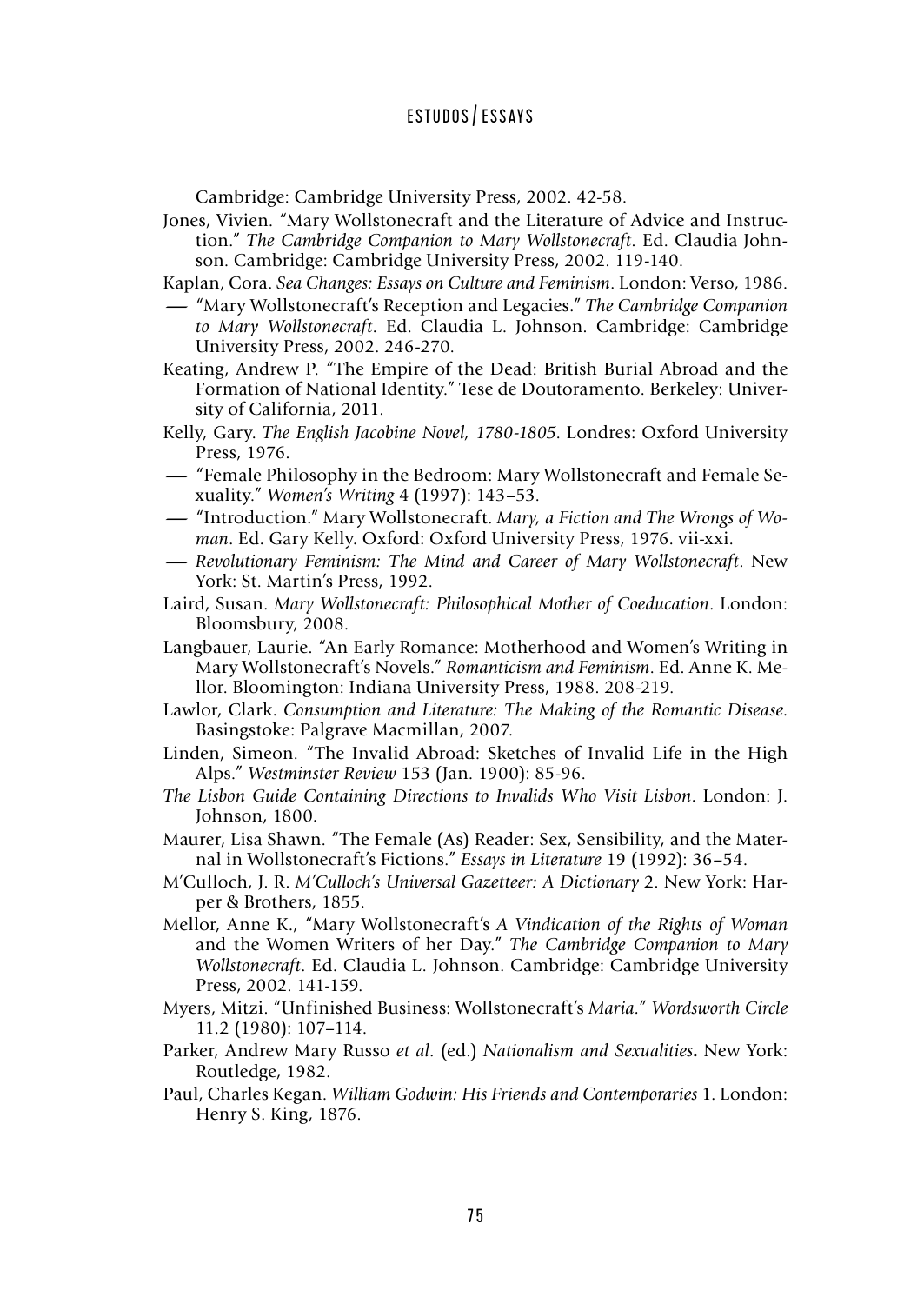Cambridge: Cambridge University Press, 2002. 42-58.

- Jones, Vivien. "Mary Wollstonecraft and the Literature of Advice and Instruction." *The Cambridge Companion to Mary Wollstonecraft*. Ed. Claudia Johnson. Cambridge: Cambridge University Press, 2002. 119-140.
- Kaplan, Cora. *Sea Changes: Essays on Culture and Feminism*. London: Verso, 1986.
- **-**"Mary Wollstonecraft's Reception and Legacies." *The Cambridge Companion to Mary Wollstonecraft*. Ed. Claudia L. Johnson. Cambridge: Cambridge University Press, 2002. 246-270.
- Keating, Andrew P. "The Empire of the Dead: British Burial Abroad and the Formation of National Identity." Tese de Doutoramento. Berkeley: University of California, 2011.
- Kelly, Gary. *The English Jacobine Novel, 1780-1805*. Londres: Oxford University<br>Press, 1976.<br>— "Female Philosophy in the Bedroom: Mary Wollstonecraft and Female Se-<br>xuality." Women's Writing 4 (1997): 143–53. Press, 1976.
- xuality." *Women's Writing* 4 (1997): 143–53. — "Female Philosophy in the Bedroom: Mary Wollstonecraft and Female Se-<br>xuality." Women's Writing 4 (1997): 143–53.<br>— "Introduction." Mary Wollstonecraft. *Mary, a Fiction and The Wrongs of Wo*-
- *man*. Ed. Gary Kelly. Oxford: Oxford University Press, 1976. vii-xxi.
- **-***Revolutionary Feminism: The Mind and Career of Mary Wollstonecraft*. New York: St. Martin's Press, 1992.
- Laird, Susan. *Mary Wollstonecraft: Philosophical Mother of Coeducation*. London: Bloomsbury, 2008.
- Langbauer, Laurie. "An Early Romance: Motherhood and Women's Writing in Mary Wollstonecraft's Novels." *Romanticism and Feminism*. Ed. Anne K. Mellor. Bloomington: Indiana University Press, 1988. 208-219.
- Lawlor, Clark. *Consumption and Literature: The Making of the Romantic Disease*. Basingstoke: Palgrave Macmillan, 2007.
- Linden, Simeon. "The Invalid Abroad: Sketches of Invalid Life in the High Alps." *Westminster Review* 153 (Jan. 1900): 85-96.
- *The Lisbon Guide Containing Directions to Invalids Who Visit Lisbon*. London: J. Johnson, 1800.
- Maurer, Lisa Shawn. "The Female (As) Reader: Sex, Sensibility, and the Maternal in Wollstonecraft's Fictions." *Essays in Literature* 19 (1992): 36–54.
- M'Culloch, J. R. *M'Culloch's Universal Gazetteer: A Dictionary* 2. New York: Harper & Brothers, 1855.
- Mellor, Anne K., "Mary Wollstonecraft's *A Vindication of the Rights of Woman* and the Women Writers of her Day." *The Cambridge Companion to Mary Wollstonecraft*. Ed. Claudia L. Johnson. Cambridge: Cambridge University Press, 2002. 141-159.
- Myers, Mitzi. "Unfinished Business: Wollstonecraft's *Maria.*" *Wordsworth Circle* 11.2 (1980): 107–114.
- Parker, Andrew Mary Russo *et al*. (ed.) *Nationalism and Sexualities***.** New York: Routledge, 1982.
- Paul, Charles Kegan. *William Godwin: His Friends and Contemporaries* 1. London: Henry S. King, 1876.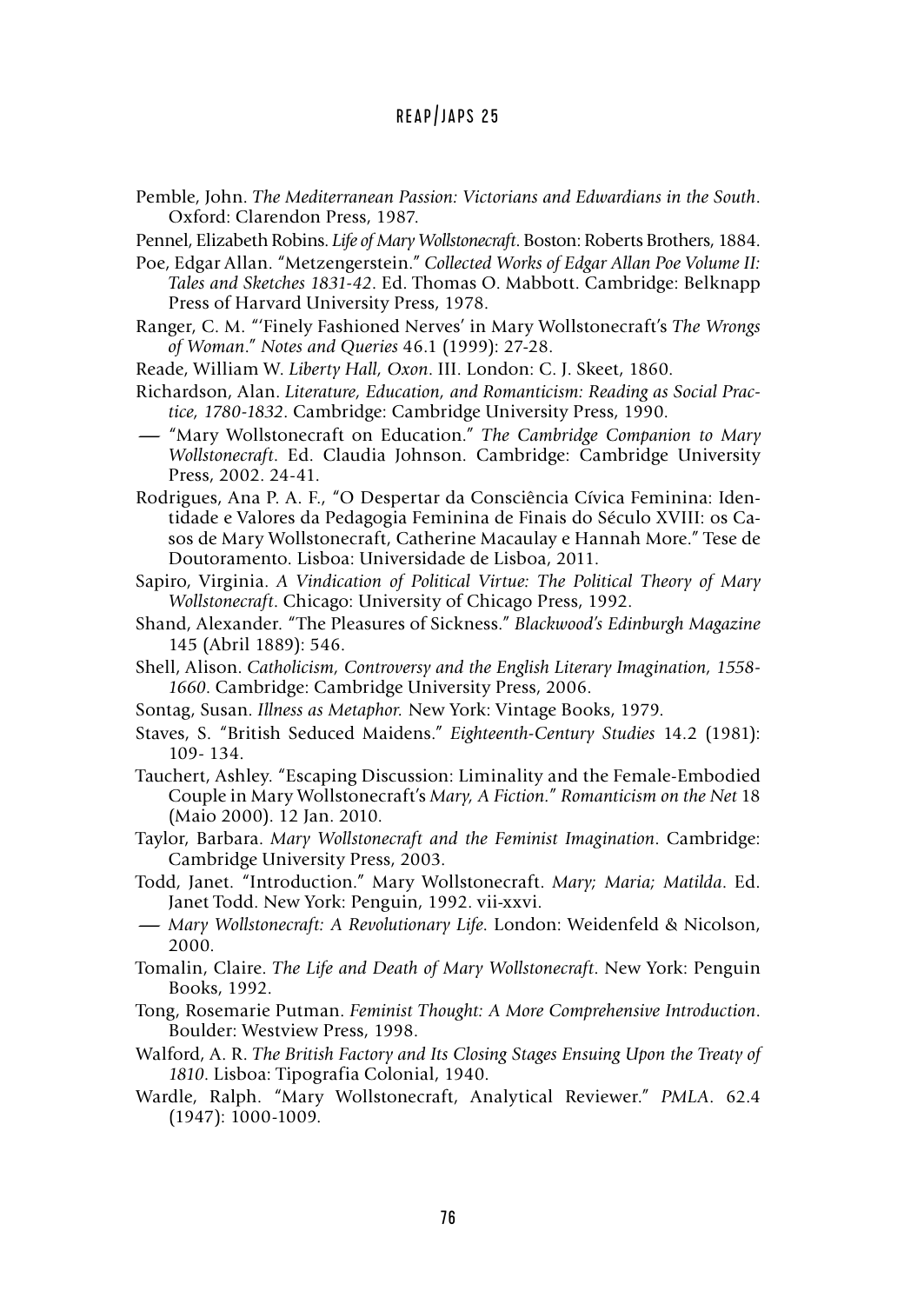- Pemble, John. *The Mediterranean Passion: Victorians and Edwardians in the South*. Oxford: Clarendon Press, 1987.
- Pennel, Elizabeth Robins. *Life of Mary Wollstonecraft*. Boston: Roberts Brothers, 1884.
- Poe, Edgar Allan. "Metzengerstein." *Collected Works of Edgar Allan Poe Volume II: Tales and Sketches 1831-42*. Ed. Thomas O. Mabbott. Cambridge: Belknapp Press of Harvard University Press, 1978.
- Ranger, C. M. "'Finely Fashioned Nerves' in Mary Wollstonecraft's *The Wrongs of Woman*." *Notes and Queries* 46.1 (1999): 27-28.
- Reade, William W. *Liberty Hall, Oxon*. III. London: C. J. Skeet, 1860.
- Richardson, Alan. *Literature, Education, and Romanticism: Reading as Social Practice, 1780-1832*. Cambridge: Cambridge University Press, 1990.
- **-**"Mary Wollstonecraft on Education." *The Cambridge Companion to Mary Wollstonecraft*. Ed. Claudia Johnson. Cambridge: Cambridge University Press, 2002. 24-41.
- Rodrigues, Ana P. A. F., "O Despertar da Consciência Cívica Feminina: Identidade e Valores da Pedagogia Feminina de Finais do Século XVIII: os Casos de Mary Wollstonecraft, Catherine Macaulay e Hannah More." Tese de Doutoramento. Lisboa: Universidade de Lisboa, 2011.
- Sapiro, Virginia. *A Vindication of Political Virtue: The Political Theory of Mary Wollstonecraft*. Chicago: University of Chicago Press, 1992.
- Shand, Alexander. "The Pleasures of Sickness." *Blackwood's Edinburgh Magazine* 145 (Abril 1889): 546.
- Shell, Alison. *Catholicism, Controversy and the English Literary Imagination, 1558- 1660*. Cambridge: Cambridge University Press, 2006.
- Sontag, Susan. *Illness as Metaphor.* New York: Vintage Books, 1979.
- Staves, S. "British Seduced Maidens." *Eighteenth-Century Studies* 14.2 (1981): 109- 134.
- Tauchert, Ashley. "Escaping Discussion: Liminality and the Female-Embodied Couple in Mary Wollstonecraft's *Mary, A Fiction.*" *Romanticism on the Net* 18 (Maio 2000). 12 Jan. 2010.
- Taylor, Barbara. *Mary Wollstonecraft and the Feminist Imagination*. Cambridge: Cambridge University Press, 2003.
- Todd, Janet. "Introduction." Mary Wollstonecraft. *Mary; Maria; Matilda*. Ed.<br>
Janet Todd. New York: Penguin, 1992. vii-xxvi.<br>  *Mary Wollstonecraft: A Revolutionary Life*. London: Weidenfeld & Nicolson,<br>
2000. Janet Todd. New York: Penguin, 1992. vii-xxvi.
- 2000.
- Tomalin, Claire. *The Life and Death of Mary Wollstonecraft*. New York: Penguin Books, 1992.
- Tong, Rosemarie Putman. *Feminist Thought: A More Comprehensive Introduction*. Boulder: Westview Press, 1998.
- Walford, A. R. *The British Factory and Its Closing Stages Ensuing Upon the Treaty of 1810*. Lisboa: Tipografia Colonial, 1940.
- Wardle, Ralph. "Mary Wollstonecraft, Analytical Reviewer." *PMLA*. 62.4 (1947): 1000-1009.